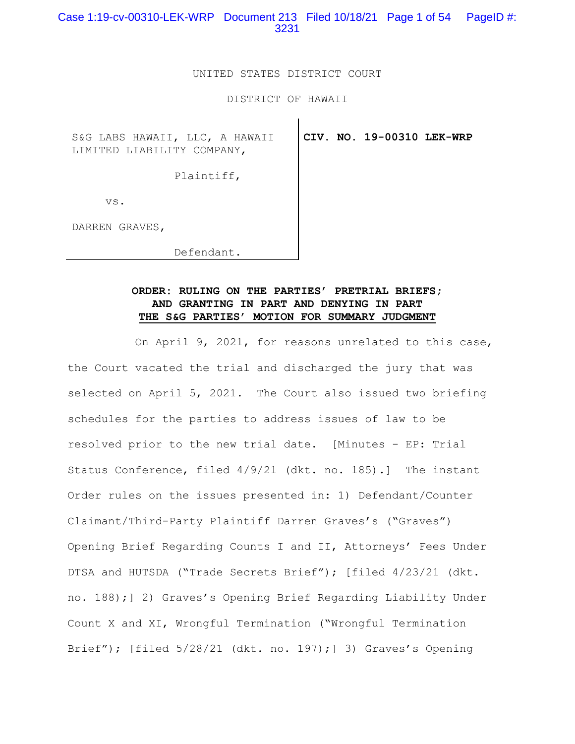Case 1:19-cv-00310-LEK-WRP Document 213 Filed 10/18/21 Page 1 of 54 PageID #: 3231

### UNITED STATES DISTRICT COURT

DISTRICT OF HAWAII

S&G LABS HAWAII, LLC, A HAWAII LIMITED LIABILITY COMPANY,

**CIV. NO. 19-00310 LEK-WRP**

Plaintiff,

vs.

DARREN GRAVES,

Defendant.

# **ORDER: RULING ON THE PARTIES' PRETRIAL BRIEFS; AND GRANTING IN PART AND DENYING IN PART THE S&G PARTIES' MOTION FOR SUMMARY JUDGMENT**

 On April 9, 2021, for reasons unrelated to this case, the Court vacated the trial and discharged the jury that was selected on April 5, 2021. The Court also issued two briefing schedules for the parties to address issues of law to be resolved prior to the new trial date. [Minutes - EP: Trial Status Conference, filed 4/9/21 (dkt. no. 185).] The instant Order rules on the issues presented in: 1) Defendant/Counter Claimant/Third-Party Plaintiff Darren Graves's ("Graves") Opening Brief Regarding Counts I and II, Attorneys' Fees Under DTSA and HUTSDA ("Trade Secrets Brief"); [filed 4/23/21 (dkt. no. 188);] 2) Graves's Opening Brief Regarding Liability Under Count X and XI, Wrongful Termination ("Wrongful Termination Brief"); [filed 5/28/21 (dkt. no. 197);] 3) Graves's Opening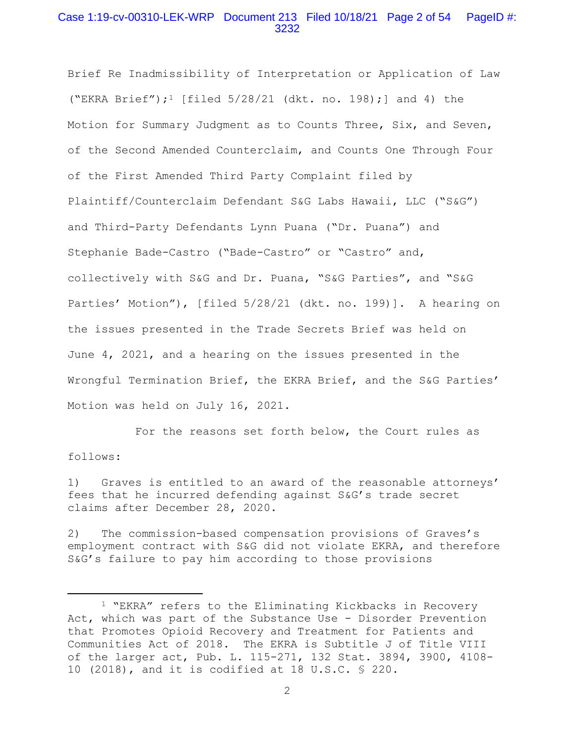## Case 1:19-cv-00310-LEK-WRP Document 213 Filed 10/18/21 Page 2 of 54 PageID #: 3232

Brief Re Inadmissibility of Interpretation or Application of Law ("EKRA Brief");<sup>1</sup> [filed  $5/28/21$  (dkt. no. 198);] and 4) the Motion for Summary Judgment as to Counts Three, Six, and Seven, of the Second Amended Counterclaim, and Counts One Through Four of the First Amended Third Party Complaint filed by Plaintiff/Counterclaim Defendant S&G Labs Hawaii, LLC ("S&G") and Third-Party Defendants Lynn Puana ("Dr. Puana") and Stephanie Bade-Castro ("Bade-Castro" or "Castro" and, collectively with S&G and Dr. Puana, "S&G Parties", and "S&G Parties' Motion"), [filed 5/28/21 (dkt. no. 199)]. A hearing on the issues presented in the Trade Secrets Brief was held on June 4, 2021, and a hearing on the issues presented in the Wrongful Termination Brief, the EKRA Brief, and the S&G Parties' Motion was held on July 16, 2021.

 For the reasons set forth below, the Court rules as follows:

1) Graves is entitled to an award of the reasonable attorneys' fees that he incurred defending against S&G's trade secret claims after December 28, 2020.

2) The commission-based compensation provisions of Graves's employment contract with S&G did not violate EKRA, and therefore S&G's failure to pay him according to those provisions

<sup>1 &</sup>quot;EKRA" refers to the Eliminating Kickbacks in Recovery Act, which was part of the Substance Use - Disorder Prevention that Promotes Opioid Recovery and Treatment for Patients and Communities Act of 2018. The EKRA is Subtitle J of Title VIII of the larger act, Pub. L. 115-271, 132 Stat. 3894, 3900, 4108- 10 (2018), and it is codified at 18 U.S.C. § 220.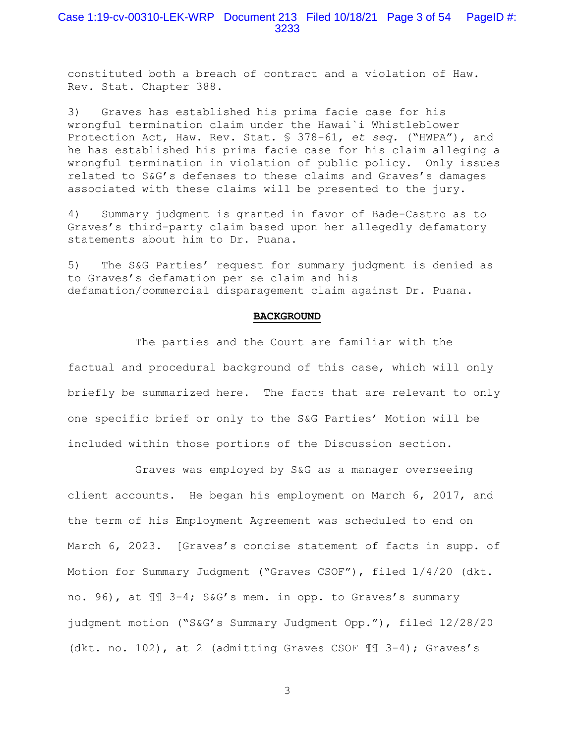constituted both a breach of contract and a violation of Haw. Rev. Stat. Chapter 388.

3) Graves has established his prima facie case for his wrongful termination claim under the Hawai`i Whistleblower Protection Act, Haw. Rev. Stat. § 378-61, *et seq.* ("HWPA"), and he has established his prima facie case for his claim alleging a wrongful termination in violation of public policy. Only issues related to S&G's defenses to these claims and Graves's damages associated with these claims will be presented to the jury.

4) Summary judgment is granted in favor of Bade-Castro as to Graves's third-party claim based upon her allegedly defamatory statements about him to Dr. Puana.

5) The S&G Parties' request for summary judgment is denied as to Graves's defamation per se claim and his defamation/commercial disparagement claim against Dr. Puana.

#### **BACKGROUND**

 The parties and the Court are familiar with the factual and procedural background of this case, which will only briefly be summarized here. The facts that are relevant to only one specific brief or only to the S&G Parties' Motion will be included within those portions of the Discussion section.

 Graves was employed by S&G as a manager overseeing client accounts. He began his employment on March 6, 2017, and the term of his Employment Agreement was scheduled to end on March 6, 2023. [Graves's concise statement of facts in supp. of Motion for Summary Judgment ("Graves CSOF"), filed 1/4/20 (dkt. no. 96), at ¶¶ 3-4; S&G's mem. in opp. to Graves's summary judgment motion ("S&G's Summary Judgment Opp."), filed 12/28/20 (dkt. no. 102), at 2 (admitting Graves CSOF ¶¶ 3-4); Graves's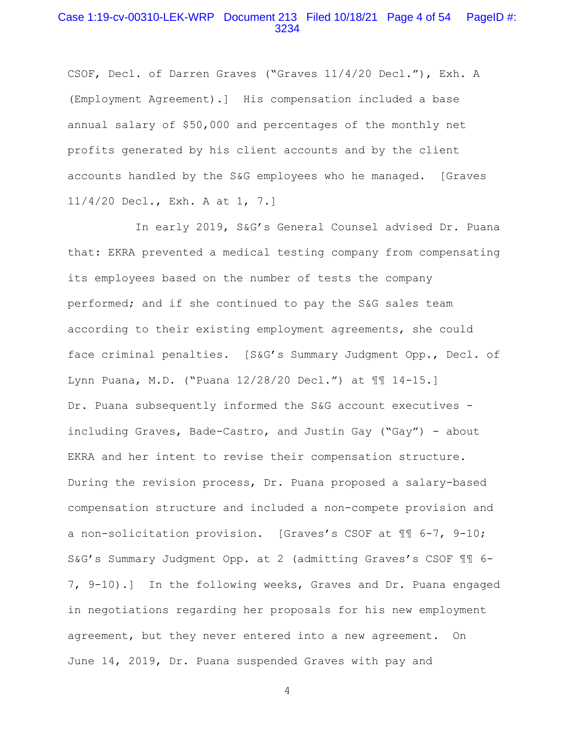# Case 1:19-cv-00310-LEK-WRP Document 213 Filed 10/18/21 Page 4 of 54 PageID #: 3234

CSOF, Decl. of Darren Graves ("Graves 11/4/20 Decl."), Exh. A (Employment Agreement).] His compensation included a base annual salary of \$50,000 and percentages of the monthly net profits generated by his client accounts and by the client accounts handled by the S&G employees who he managed. [Graves 11/4/20 Decl., Exh. A at 1, 7.]

 In early 2019, S&G's General Counsel advised Dr. Puana that: EKRA prevented a medical testing company from compensating its employees based on the number of tests the company performed; and if she continued to pay the S&G sales team according to their existing employment agreements, she could face criminal penalties. [S&G's Summary Judgment Opp., Decl. of Lynn Puana, M.D. ("Puana 12/28/20 Decl.") at ¶¶ 14-15.] Dr. Puana subsequently informed the S&G account executives including Graves, Bade-Castro, and Justin Gay ("Gay") - about EKRA and her intent to revise their compensation structure. During the revision process, Dr. Puana proposed a salary-based compensation structure and included a non-compete provision and a non-solicitation provision. [Graves's CSOF at ¶¶ 6-7, 9-10; S&G's Summary Judgment Opp. at 2 (admitting Graves's CSOF ¶¶ 6- 7, 9-10).] In the following weeks, Graves and Dr. Puana engaged in negotiations regarding her proposals for his new employment agreement, but they never entered into a new agreement. On June 14, 2019, Dr. Puana suspended Graves with pay and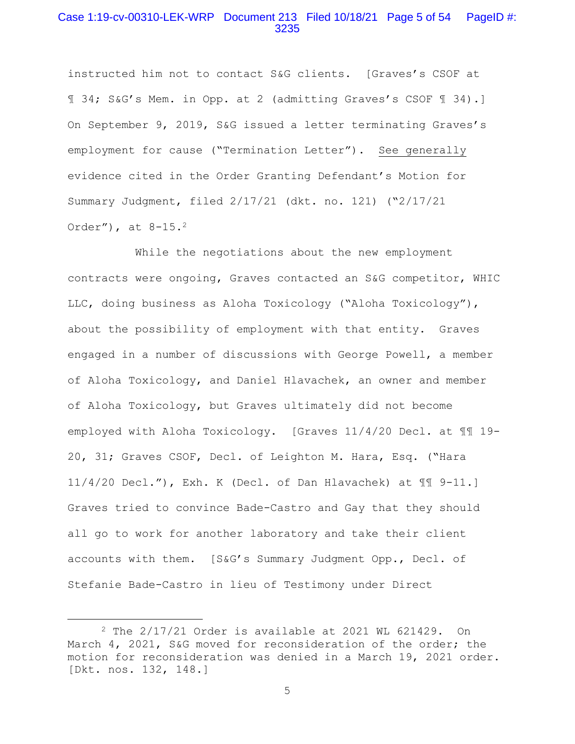### Case 1:19-cv-00310-LEK-WRP Document 213 Filed 10/18/21 Page 5 of 54 PageID #: 3235

instructed him not to contact S&G clients. [Graves's CSOF at ¶ 34; S&G's Mem. in Opp. at 2 (admitting Graves's CSOF ¶ 34).] On September 9, 2019, S&G issued a letter terminating Graves's employment for cause ("Termination Letter"). See generally evidence cited in the Order Granting Defendant's Motion for Summary Judgment, filed 2/17/21 (dkt. no. 121) ("2/17/21 Order"), at 8-15.2

 While the negotiations about the new employment contracts were ongoing, Graves contacted an S&G competitor, WHIC LLC, doing business as Aloha Toxicology ("Aloha Toxicology"), about the possibility of employment with that entity. Graves engaged in a number of discussions with George Powell, a member of Aloha Toxicology, and Daniel Hlavachek, an owner and member of Aloha Toxicology, but Graves ultimately did not become employed with Aloha Toxicology. [Graves 11/4/20 Decl. at ¶¶ 19- 20, 31; Graves CSOF, Decl. of Leighton M. Hara, Esq. ("Hara 11/4/20 Decl."), Exh. K (Decl. of Dan Hlavachek) at ¶¶ 9-11.] Graves tried to convince Bade-Castro and Gay that they should all go to work for another laboratory and take their client accounts with them. [S&G's Summary Judgment Opp., Decl. of Stefanie Bade-Castro in lieu of Testimony under Direct

<sup>2</sup> The 2/17/21 Order is available at 2021 WL 621429. On March 4, 2021, S&G moved for reconsideration of the order; the motion for reconsideration was denied in a March 19, 2021 order. [Dkt. nos. 132, 148.]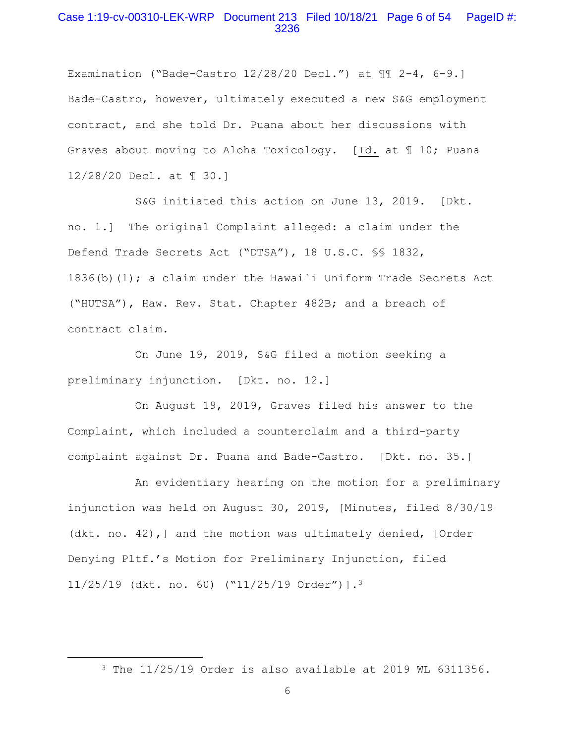# Case 1:19-cv-00310-LEK-WRP Document 213 Filed 10/18/21 Page 6 of 54 PageID #: 3236

Examination ("Bade-Castro  $12/28/20$  Decl.") at  $\P$  $\P$  2-4, 6-9. Bade-Castro, however, ultimately executed a new S&G employment contract, and she told Dr. Puana about her discussions with Graves about moving to Aloha Toxicology. [Id. at ¶ 10; Puana 12/28/20 Decl. at ¶ 30.]

 S&G initiated this action on June 13, 2019. [Dkt. no. 1.] The original Complaint alleged: a claim under the Defend Trade Secrets Act ("DTSA"), 18 U.S.C. §§ 1832, 1836(b)(1); a claim under the Hawai`i Uniform Trade Secrets Act ("HUTSA"), Haw. Rev. Stat. Chapter 482B; and a breach of contract claim.

 On June 19, 2019, S&G filed a motion seeking a preliminary injunction. [Dkt. no. 12.]

 On August 19, 2019, Graves filed his answer to the Complaint, which included a counterclaim and a third-party complaint against Dr. Puana and Bade-Castro. [Dkt. no. 35.]

 An evidentiary hearing on the motion for a preliminary injunction was held on August 30, 2019, [Minutes, filed 8/30/19 (dkt. no. 42),] and the motion was ultimately denied, [Order Denying Pltf.'s Motion for Preliminary Injunction, filed 11/25/19 (dkt. no. 60) ("11/25/19 Order")].3

<sup>3</sup> The 11/25/19 Order is also available at 2019 WL 6311356.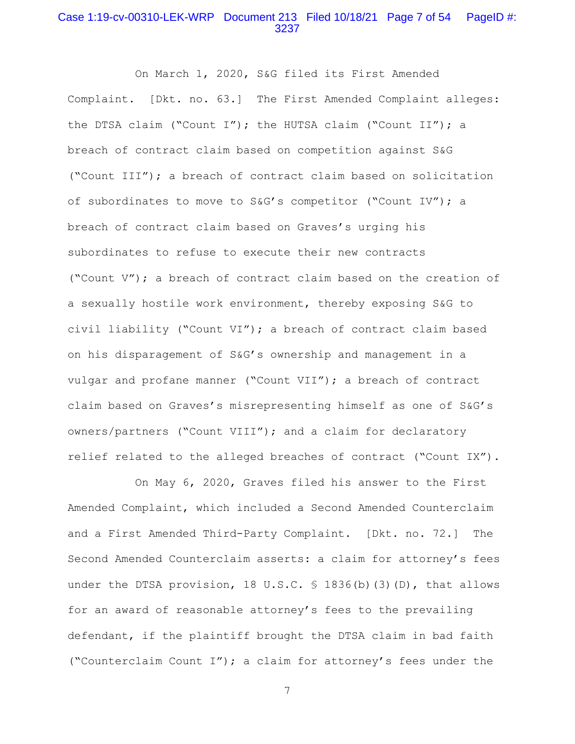# Case 1:19-cv-00310-LEK-WRP Document 213 Filed 10/18/21 Page 7 of 54 PageID #: 3237

 On March 1, 2020, S&G filed its First Amended Complaint. [Dkt. no. 63.] The First Amended Complaint alleges: the DTSA claim ("Count I"); the HUTSA claim ("Count II"); a breach of contract claim based on competition against S&G ("Count III"); a breach of contract claim based on solicitation of subordinates to move to S&G's competitor ("Count IV"); a breach of contract claim based on Graves's urging his subordinates to refuse to execute their new contracts ("Count V"); a breach of contract claim based on the creation of a sexually hostile work environment, thereby exposing S&G to civil liability ("Count VI"); a breach of contract claim based on his disparagement of S&G's ownership and management in a vulgar and profane manner ("Count VII"); a breach of contract claim based on Graves's misrepresenting himself as one of S&G's owners/partners ("Count VIII"); and a claim for declaratory relief related to the alleged breaches of contract ("Count IX").

 On May 6, 2020, Graves filed his answer to the First Amended Complaint, which included a Second Amended Counterclaim and a First Amended Third-Party Complaint. [Dkt. no. 72.] The Second Amended Counterclaim asserts: a claim for attorney's fees under the DTSA provision, 18 U.S.C. § 1836(b)(3)(D), that allows for an award of reasonable attorney's fees to the prevailing defendant, if the plaintiff brought the DTSA claim in bad faith ("Counterclaim Count I"); a claim for attorney's fees under the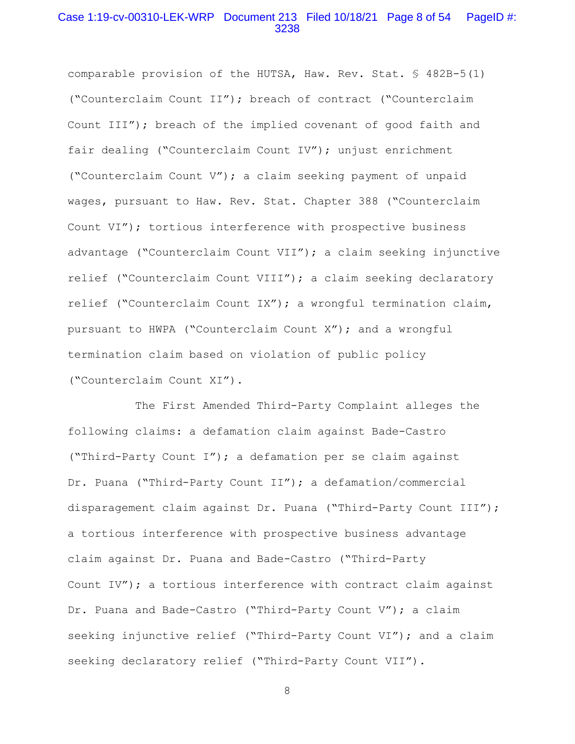# Case 1:19-cv-00310-LEK-WRP Document 213 Filed 10/18/21 Page 8 of 54 PageID #: 3238

comparable provision of the HUTSA, Haw. Rev. Stat. § 482B-5(1) ("Counterclaim Count II"); breach of contract ("Counterclaim Count III"); breach of the implied covenant of good faith and fair dealing ("Counterclaim Count IV"); unjust enrichment ("Counterclaim Count V"); a claim seeking payment of unpaid wages, pursuant to Haw. Rev. Stat. Chapter 388 ("Counterclaim Count VI"); tortious interference with prospective business advantage ("Counterclaim Count VII"); a claim seeking injunctive relief ("Counterclaim Count VIII"); a claim seeking declaratory relief ("Counterclaim Count IX"); a wrongful termination claim, pursuant to HWPA ("Counterclaim Count X"); and a wrongful termination claim based on violation of public policy ("Counterclaim Count XI").

 The First Amended Third-Party Complaint alleges the following claims: a defamation claim against Bade-Castro ("Third-Party Count I"); a defamation per se claim against Dr. Puana ("Third-Party Count II"); a defamation/commercial disparagement claim against Dr. Puana ("Third-Party Count III"); a tortious interference with prospective business advantage claim against Dr. Puana and Bade-Castro ("Third-Party Count IV"); a tortious interference with contract claim against Dr. Puana and Bade-Castro ("Third-Party Count V"); a claim seeking injunctive relief ("Third-Party Count VI"); and a claim seeking declaratory relief ("Third-Party Count VII").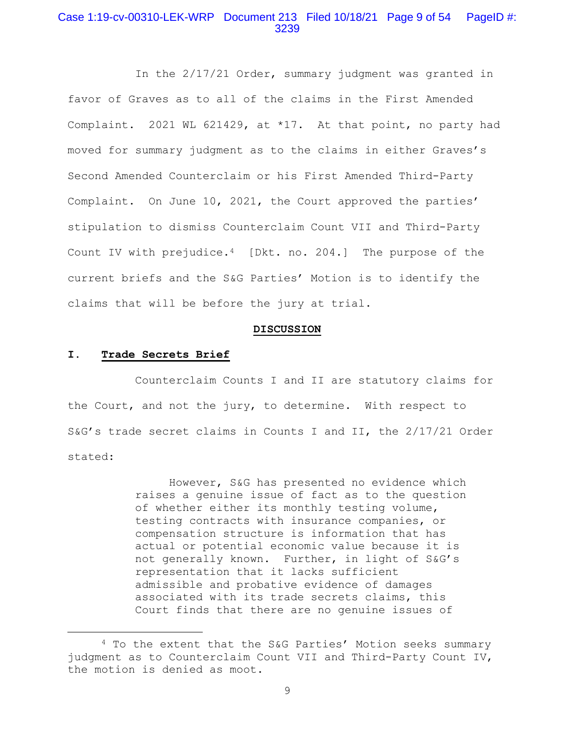## Case 1:19-cv-00310-LEK-WRP Document 213 Filed 10/18/21 Page 9 of 54 PageID #: 3239

 In the 2/17/21 Order, summary judgment was granted in favor of Graves as to all of the claims in the First Amended Complaint. 2021 WL 621429, at \*17. At that point, no party had moved for summary judgment as to the claims in either Graves's Second Amended Counterclaim or his First Amended Third-Party Complaint. On June 10, 2021, the Court approved the parties' stipulation to dismiss Counterclaim Count VII and Third-Party Count IV with prejudice.4 [Dkt. no. 204.] The purpose of the current briefs and the S&G Parties' Motion is to identify the claims that will be before the jury at trial.

### **DISCUSSION**

#### **I. Trade Secrets Brief**

 Counterclaim Counts I and II are statutory claims for the Court, and not the jury, to determine. With respect to S&G's trade secret claims in Counts I and II, the 2/17/21 Order stated:

> However, S&G has presented no evidence which raises a genuine issue of fact as to the question of whether either its monthly testing volume, testing contracts with insurance companies, or compensation structure is information that has actual or potential economic value because it is not generally known. Further, in light of S&G's representation that it lacks sufficient admissible and probative evidence of damages associated with its trade secrets claims, this Court finds that there are no genuine issues of

<sup>4</sup> To the extent that the S&G Parties' Motion seeks summary judgment as to Counterclaim Count VII and Third-Party Count IV, the motion is denied as moot.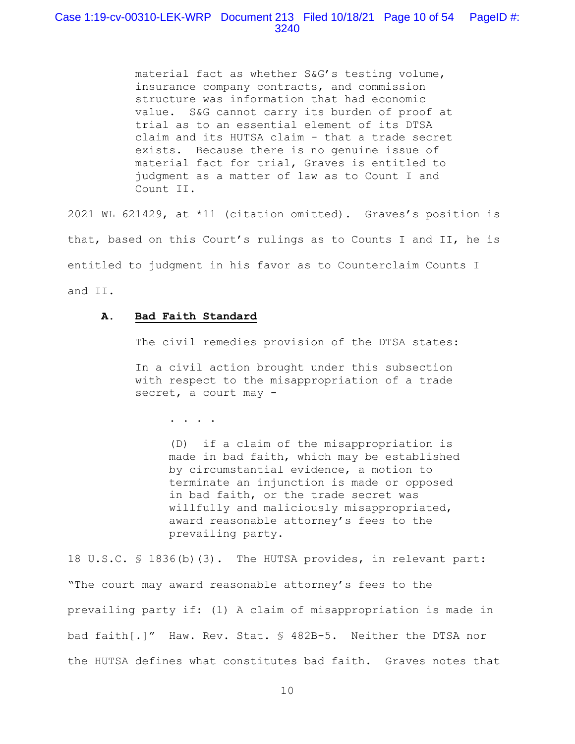# Case 1:19-cv-00310-LEK-WRP Document 213 Filed 10/18/21 Page 10 of 54 PageID #: 3240

material fact as whether S&G's testing volume, insurance company contracts, and commission structure was information that had economic value. S&G cannot carry its burden of proof at trial as to an essential element of its DTSA claim and its HUTSA claim - that a trade secret exists. Because there is no genuine issue of material fact for trial, Graves is entitled to judgment as a matter of law as to Count I and Count II.

2021 WL 621429, at \*11 (citation omitted). Graves's position is that, based on this Court's rulings as to Counts I and II, he is entitled to judgment in his favor as to Counterclaim Counts I and II.

### **A. Bad Faith Standard**

The civil remedies provision of the DTSA states:

In a civil action brought under this subsection with respect to the misappropriation of a trade secret, a court may -

. . . .

(D) if a claim of the misappropriation is made in bad faith, which may be established by circumstantial evidence, a motion to terminate an injunction is made or opposed in bad faith, or the trade secret was willfully and maliciously misappropriated, award reasonable attorney's fees to the prevailing party.

18 U.S.C. § 1836(b)(3). The HUTSA provides, in relevant part: "The court may award reasonable attorney's fees to the prevailing party if: (1) A claim of misappropriation is made in bad faith[.]" Haw. Rev. Stat. § 482B-5. Neither the DTSA nor the HUTSA defines what constitutes bad faith. Graves notes that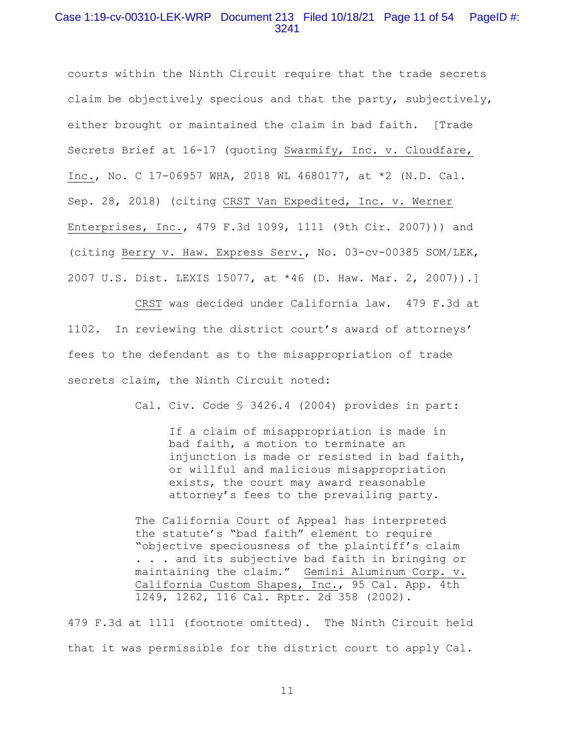# Case 1:19-cv-00310-LEK-WRP Document 213 Filed 10/18/21 Page 11 of 54 PageID #: 3241

courts within the Ninth Circuit require that the trade secrets claim be objectively specious and that the party, subjectively, either brought or maintained the claim in bad faith. [Trade Secrets Brief at 16-17 (quoting Swarmify, Inc. v. Cloudfare, Inc., No. C 17-06957 WHA, 2018 WL 4680177, at \*2 (N.D. Cal. Sep. 28, 2018) (citing CRST Van Expedited, Inc. v. Werner Enterprises, Inc., 479 F.3d 1099, 1111 (9th Cir. 2007))) and (citing Berry v. Haw. Express Serv., No. 03-cv-00385 SOM/LEK, 2007 U.S. Dist. LEXIS 15077, at \*46 (D. Haw. Mar. 2, 2007)).]

 CRST was decided under California law. 479 F.3d at 1102. In reviewing the district court's award of attorneys' fees to the defendant as to the misappropriation of trade secrets claim, the Ninth Circuit noted:

Cal. Civ. Code § 3426.4 (2004) provides in part:

If a claim of misappropriation is made in bad faith, a motion to terminate an injunction is made or resisted in bad faith, or willful and malicious misappropriation exists, the court may award reasonable attorney's fees to the prevailing party.

The California Court of Appeal has interpreted the statute's "bad faith" element to require "objective speciousness of the plaintiff's claim . . . and its subjective bad faith in bringing or maintaining the claim." Gemini Aluminum Corp. v. California Custom Shapes, Inc., 95 Cal. App. 4th 1249, 1262, 116 Cal. Rptr. 2d 358 (2002).

479 F.3d at 1111 (footnote omitted). The Ninth Circuit held that it was permissible for the district court to apply Cal.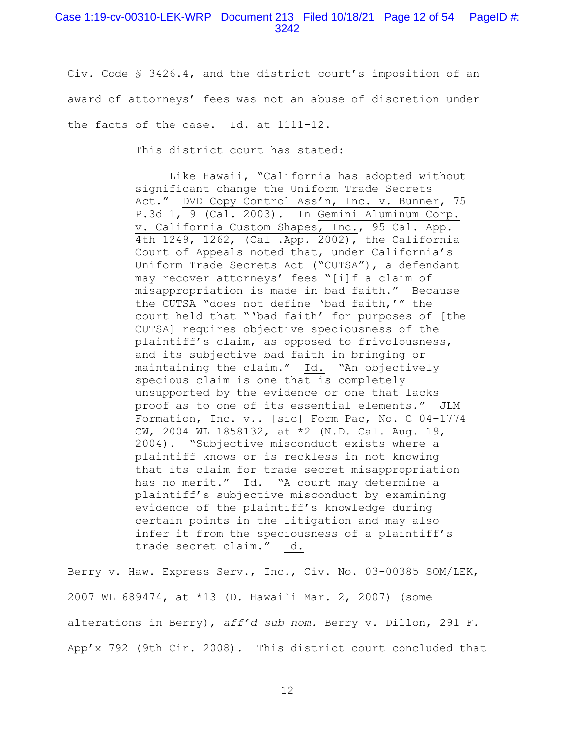### Case 1:19-cv-00310-LEK-WRP Document 213 Filed 10/18/21 Page 12 of 54 PageID #: 3242

Civ. Code § 3426.4, and the district court's imposition of an award of attorneys' fees was not an abuse of discretion under the facts of the case. Id. at 1111-12.

This district court has stated:

 Like Hawaii, "California has adopted without significant change the Uniform Trade Secrets Act." DVD Copy Control Ass'n, Inc. v. Bunner, 75 P.3d 1, 9 (Cal. 2003). In Gemini Aluminum Corp. v. California Custom Shapes, Inc., 95 Cal. App. 4th 1249, 1262, (Cal .App. 2002), the California Court of Appeals noted that, under California's Uniform Trade Secrets Act ("CUTSA"), a defendant may recover attorneys' fees "[i]f a claim of misappropriation is made in bad faith." Because the CUTSA "does not define 'bad faith,'" the court held that "'bad faith' for purposes of [the CUTSA] requires objective speciousness of the plaintiff's claim, as opposed to frivolousness, and its subjective bad faith in bringing or maintaining the claim." Id. "An objectively specious claim is one that is completely unsupported by the evidence or one that lacks proof as to one of its essential elements." JLM Formation, Inc. v.. [sic] Form Pac, No. C 04–1774 CW, 2004 WL 1858132, at \*2 (N.D. Cal. Aug. 19, 2004). "Subjective misconduct exists where a plaintiff knows or is reckless in not knowing that its claim for trade secret misappropriation has no merit." Id. "A court may determine a plaintiff's subjective misconduct by examining evidence of the plaintiff's knowledge during certain points in the litigation and may also infer it from the speciousness of a plaintiff's trade secret claim." Id.

Berry v. Haw. Express Serv., Inc., Civ. No. 03-00385 SOM/LEK, 2007 WL 689474, at \*13 (D. Hawai`i Mar. 2, 2007) (some alterations in Berry), *aff'd sub nom.* Berry v. Dillon, 291 F. App'x 792 (9th Cir. 2008). This district court concluded that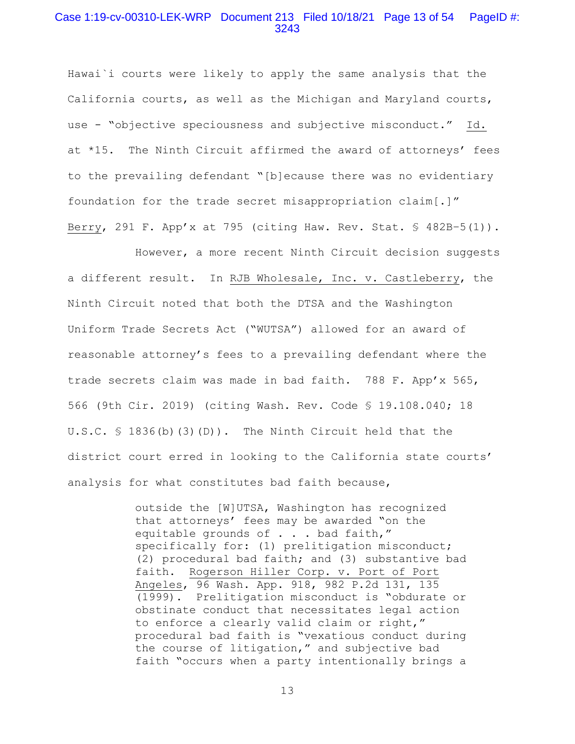### Case 1:19-cv-00310-LEK-WRP Document 213 Filed 10/18/21 Page 13 of 54 PageID #: 3243

Hawai`i courts were likely to apply the same analysis that the California courts, as well as the Michigan and Maryland courts, use - "objective speciousness and subjective misconduct." Id. at \*15. The Ninth Circuit affirmed the award of attorneys' fees to the prevailing defendant "[b]ecause there was no evidentiary foundation for the trade secret misappropriation claim[.]" Berry, 291 F. App'x at 795 (citing Haw. Rev. Stat. § 482B–5(1)).

 However, a more recent Ninth Circuit decision suggests a different result. In RJB Wholesale, Inc. v. Castleberry, the Ninth Circuit noted that both the DTSA and the Washington Uniform Trade Secrets Act ("WUTSA") allowed for an award of reasonable attorney's fees to a prevailing defendant where the trade secrets claim was made in bad faith. 788 F. App'x 565, 566 (9th Cir. 2019) (citing Wash. Rev. Code § 19.108.040; 18 U.S.C. § 1836(b)(3)(D)). The Ninth Circuit held that the district court erred in looking to the California state courts' analysis for what constitutes bad faith because,

> outside the [W]UTSA, Washington has recognized that attorneys' fees may be awarded "on the equitable grounds of . . . bad faith," specifically for: (1) prelitigation misconduct; (2) procedural bad faith; and (3) substantive bad faith. Rogerson Hiller Corp. v. Port of Port Angeles, 96 Wash. App. 918, 982 P.2d 131, 135 (1999). Prelitigation misconduct is "obdurate or obstinate conduct that necessitates legal action to enforce a clearly valid claim or right," procedural bad faith is "vexatious conduct during the course of litigation," and subjective bad faith "occurs when a party intentionally brings a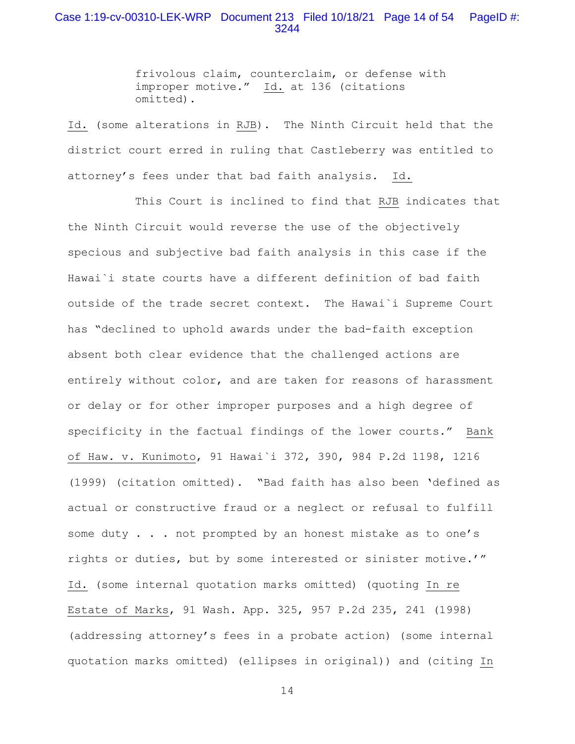# Case 1:19-cv-00310-LEK-WRP Document 213 Filed 10/18/21 Page 14 of 54 PageID #: 3244

frivolous claim, counterclaim, or defense with improper motive." Id. at 136 (citations omitted).

Id. (some alterations in RJB). The Ninth Circuit held that the district court erred in ruling that Castleberry was entitled to attorney's fees under that bad faith analysis. Id.

 This Court is inclined to find that RJB indicates that the Ninth Circuit would reverse the use of the objectively specious and subjective bad faith analysis in this case if the Hawai`i state courts have a different definition of bad faith outside of the trade secret context. The Hawai`i Supreme Court has "declined to uphold awards under the bad-faith exception absent both clear evidence that the challenged actions are entirely without color, and are taken for reasons of harassment or delay or for other improper purposes and a high degree of specificity in the factual findings of the lower courts." Bank of Haw. v. Kunimoto, 91 Hawai`i 372, 390, 984 P.2d 1198, 1216 (1999) (citation omitted). "Bad faith has also been 'defined as actual or constructive fraud or a neglect or refusal to fulfill some duty . . . not prompted by an honest mistake as to one's rights or duties, but by some interested or sinister motive.'" Id. (some internal quotation marks omitted) (quoting In re Estate of Marks, 91 Wash. App. 325, 957 P.2d 235, 241 (1998) (addressing attorney's fees in a probate action) (some internal quotation marks omitted) (ellipses in original)) and (citing In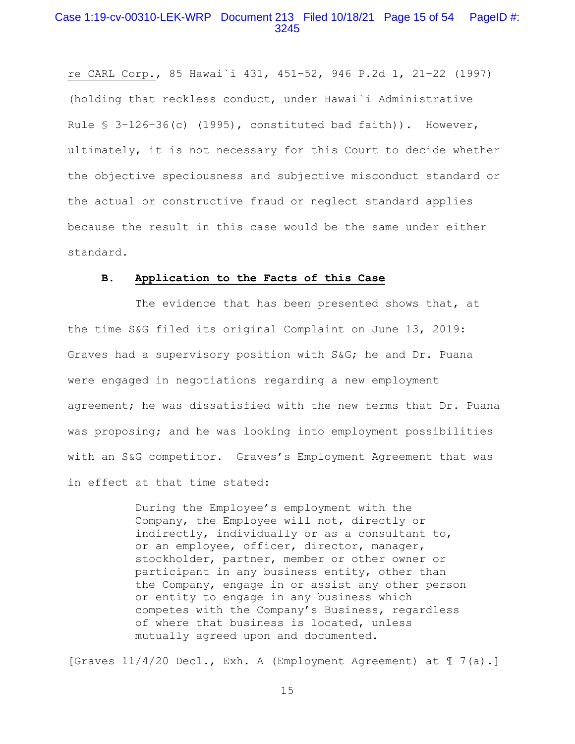### Case 1:19-cv-00310-LEK-WRP Document 213 Filed 10/18/21 Page 15 of 54 PageID #: 3245

re CARL Corp., 85 Hawai`i 431, 451–52, 946 P.2d 1, 21–22 (1997) (holding that reckless conduct, under Hawai`i Administrative Rule § 3–126–36(c) (1995), constituted bad faith)). However, ultimately, it is not necessary for this Court to decide whether the objective speciousness and subjective misconduct standard or the actual or constructive fraud or neglect standard applies because the result in this case would be the same under either standard.

### **B. Application to the Facts of this Case**

The evidence that has been presented shows that, at the time S&G filed its original Complaint on June 13, 2019: Graves had a supervisory position with S&G; he and Dr. Puana were engaged in negotiations regarding a new employment agreement; he was dissatisfied with the new terms that Dr. Puana was proposing; and he was looking into employment possibilities with an S&G competitor. Graves's Employment Agreement that was in effect at that time stated:

> During the Employee's employment with the Company, the Employee will not, directly or indirectly, individually or as a consultant to, or an employee, officer, director, manager, stockholder, partner, member or other owner or participant in any business entity, other than the Company, engage in or assist any other person or entity to engage in any business which competes with the Company's Business, regardless of where that business is located, unless mutually agreed upon and documented.

[Graves 11/4/20 Decl., Exh. A (Employment Agreement) at ¶ 7(a).]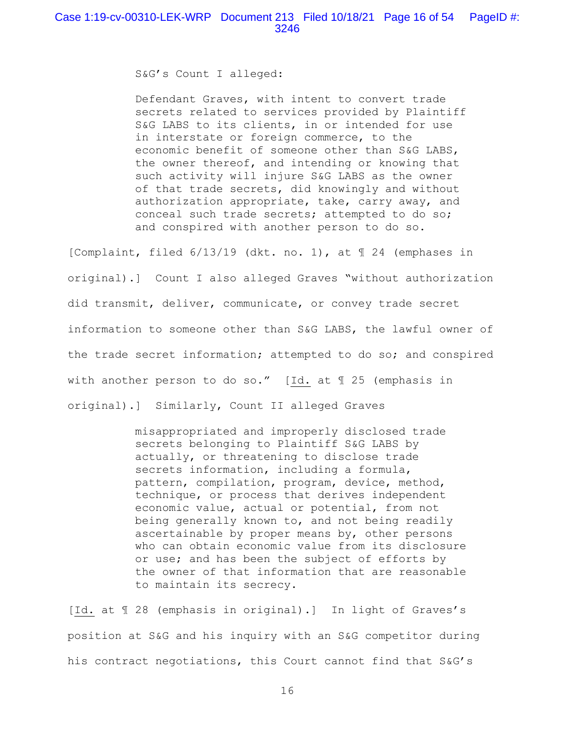S&G's Count I alleged:

Defendant Graves, with intent to convert trade secrets related to services provided by Plaintiff S&G LABS to its clients, in or intended for use in interstate or foreign commerce, to the economic benefit of someone other than S&G LABS, the owner thereof, and intending or knowing that such activity will injure S&G LABS as the owner of that trade secrets, did knowingly and without authorization appropriate, take, carry away, and conceal such trade secrets; attempted to do so; and conspired with another person to do so.

[Complaint, filed 6/13/19 (dkt. no. 1), at ¶ 24 (emphases in original).] Count I also alleged Graves "without authorization did transmit, deliver, communicate, or convey trade secret information to someone other than S&G LABS, the lawful owner of the trade secret information; attempted to do so; and conspired with another person to do so." [Id. at ¶ 25 (emphasis in original).] Similarly, Count II alleged Graves

> misappropriated and improperly disclosed trade secrets belonging to Plaintiff S&G LABS by actually, or threatening to disclose trade secrets information, including a formula, pattern, compilation, program, device, method, technique, or process that derives independent economic value, actual or potential, from not being generally known to, and not being readily ascertainable by proper means by, other persons who can obtain economic value from its disclosure or use; and has been the subject of efforts by the owner of that information that are reasonable to maintain its secrecy.

[Id. at ¶ 28 (emphasis in original).] In light of Graves's position at S&G and his inquiry with an S&G competitor during his contract negotiations, this Court cannot find that S&G's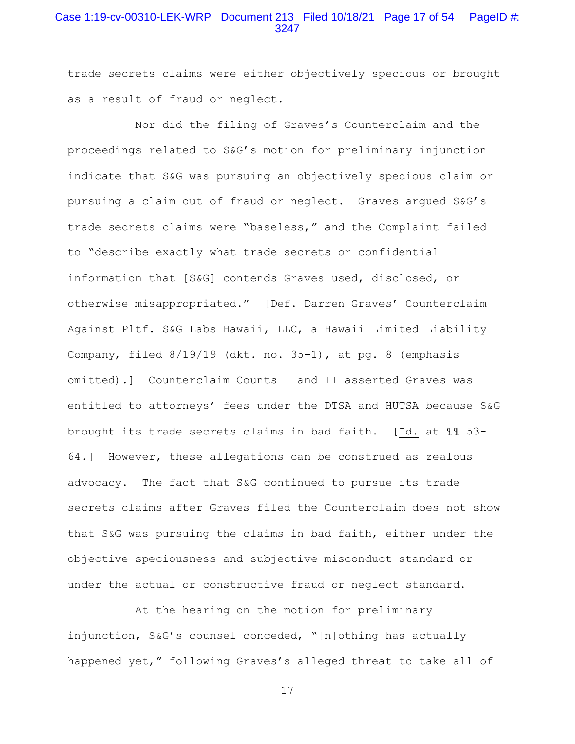# Case 1:19-cv-00310-LEK-WRP Document 213 Filed 10/18/21 Page 17 of 54 PageID #: 3247

trade secrets claims were either objectively specious or brought as a result of fraud or neglect.

 Nor did the filing of Graves's Counterclaim and the proceedings related to S&G's motion for preliminary injunction indicate that S&G was pursuing an objectively specious claim or pursuing a claim out of fraud or neglect. Graves argued S&G's trade secrets claims were "baseless," and the Complaint failed to "describe exactly what trade secrets or confidential information that [S&G] contends Graves used, disclosed, or otherwise misappropriated." [Def. Darren Graves' Counterclaim Against Pltf. S&G Labs Hawaii, LLC, a Hawaii Limited Liability Company, filed 8/19/19 (dkt. no. 35-1), at pg. 8 (emphasis omitted).] Counterclaim Counts I and II asserted Graves was entitled to attorneys' fees under the DTSA and HUTSA because S&G brought its trade secrets claims in bad faith. [Id. at ¶¶ 53- 64.] However, these allegations can be construed as zealous advocacy. The fact that S&G continued to pursue its trade secrets claims after Graves filed the Counterclaim does not show that S&G was pursuing the claims in bad faith, either under the objective speciousness and subjective misconduct standard or under the actual or constructive fraud or neglect standard.

 At the hearing on the motion for preliminary injunction, S&G's counsel conceded, "[n]othing has actually happened yet," following Graves's alleged threat to take all of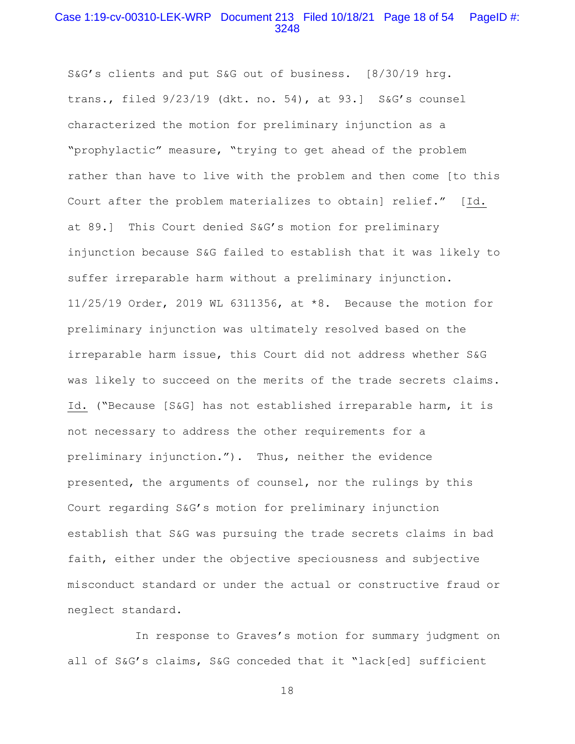# Case 1:19-cv-00310-LEK-WRP Document 213 Filed 10/18/21 Page 18 of 54 PageID #: 3248

S&G's clients and put S&G out of business. [8/30/19 hrg. trans., filed 9/23/19 (dkt. no. 54), at 93.] S&G's counsel characterized the motion for preliminary injunction as a "prophylactic" measure, "trying to get ahead of the problem rather than have to live with the problem and then come [to this Court after the problem materializes to obtain] relief." [Id. at 89.] This Court denied S&G's motion for preliminary injunction because S&G failed to establish that it was likely to suffer irreparable harm without a preliminary injunction. 11/25/19 Order, 2019 WL 6311356, at \*8. Because the motion for preliminary injunction was ultimately resolved based on the irreparable harm issue, this Court did not address whether S&G was likely to succeed on the merits of the trade secrets claims. Id. ("Because [S&G] has not established irreparable harm, it is not necessary to address the other requirements for a preliminary injunction."). Thus, neither the evidence presented, the arguments of counsel, nor the rulings by this Court regarding S&G's motion for preliminary injunction establish that S&G was pursuing the trade secrets claims in bad faith, either under the objective speciousness and subjective misconduct standard or under the actual or constructive fraud or neglect standard.

 In response to Graves's motion for summary judgment on all of S&G's claims, S&G conceded that it "lack[ed] sufficient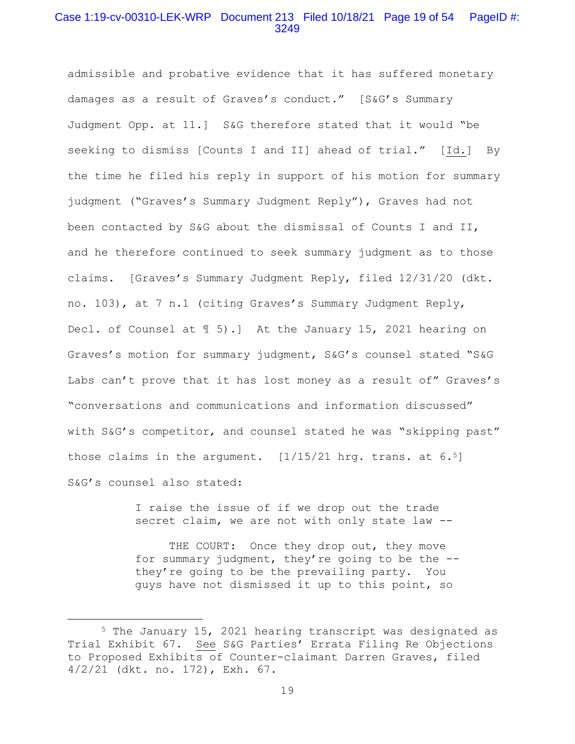# Case 1:19-cv-00310-LEK-WRP Document 213 Filed 10/18/21 Page 19 of 54 PageID #: 3249

admissible and probative evidence that it has suffered monetary damages as a result of Graves's conduct." [S&G's Summary Judgment Opp. at 11.] S&G therefore stated that it would "be seeking to dismiss [Counts I and II] ahead of trial." [Id.] By the time he filed his reply in support of his motion for summary judgment ("Graves's Summary Judgment Reply"), Graves had not been contacted by S&G about the dismissal of Counts I and II, and he therefore continued to seek summary judgment as to those claims. [Graves's Summary Judgment Reply, filed 12/31/20 (dkt. no. 103), at 7 n.1 (citing Graves's Summary Judgment Reply, Decl. of Counsel at ¶ 5).] At the January 15, 2021 hearing on Graves's motion for summary judgment, S&G's counsel stated "S&G Labs can't prove that it has lost money as a result of" Graves's "conversations and communications and information discussed" with S&G's competitor, and counsel stated he was "skipping past" those claims in the argument.  $[1/15/21$  hrg. trans. at  $6.5$ ] S&G's counsel also stated:

> I raise the issue of if we drop out the trade secret claim, we are not with only state law --

THE COURT: Once they drop out, they move for summary judgment, they're going to be the - they're going to be the prevailing party. You guys have not dismissed it up to this point, so

<sup>5</sup> The January 15, 2021 hearing transcript was designated as Trial Exhibit 67. See S&G Parties' Errata Filing Re Objections to Proposed Exhibits of Counter-claimant Darren Graves, filed 4/2/21 (dkt. no. 172), Exh. 67.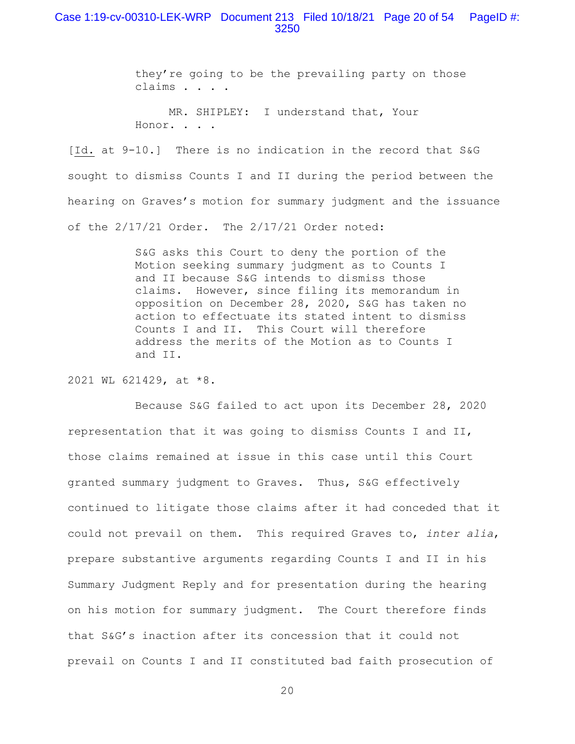### Case 1:19-cv-00310-LEK-WRP Document 213 Filed 10/18/21 Page 20 of 54 PageID #: 3250

they're going to be the prevailing party on those claims . . . .

 MR. SHIPLEY: I understand that, Your Honor. . . .

[Id. at 9-10.] There is no indication in the record that S&G sought to dismiss Counts I and II during the period between the hearing on Graves's motion for summary judgment and the issuance of the 2/17/21 Order. The 2/17/21 Order noted:

> S&G asks this Court to deny the portion of the Motion seeking summary judgment as to Counts I and II because S&G intends to dismiss those claims. However, since filing its memorandum in opposition on December 28, 2020, S&G has taken no action to effectuate its stated intent to dismiss Counts I and II. This Court will therefore address the merits of the Motion as to Counts I and II.

2021 WL 621429, at \*8.

 Because S&G failed to act upon its December 28, 2020 representation that it was going to dismiss Counts I and II, those claims remained at issue in this case until this Court granted summary judgment to Graves. Thus, S&G effectively continued to litigate those claims after it had conceded that it could not prevail on them. This required Graves to, *inter alia*, prepare substantive arguments regarding Counts I and II in his Summary Judgment Reply and for presentation during the hearing on his motion for summary judgment. The Court therefore finds that S&G's inaction after its concession that it could not prevail on Counts I and II constituted bad faith prosecution of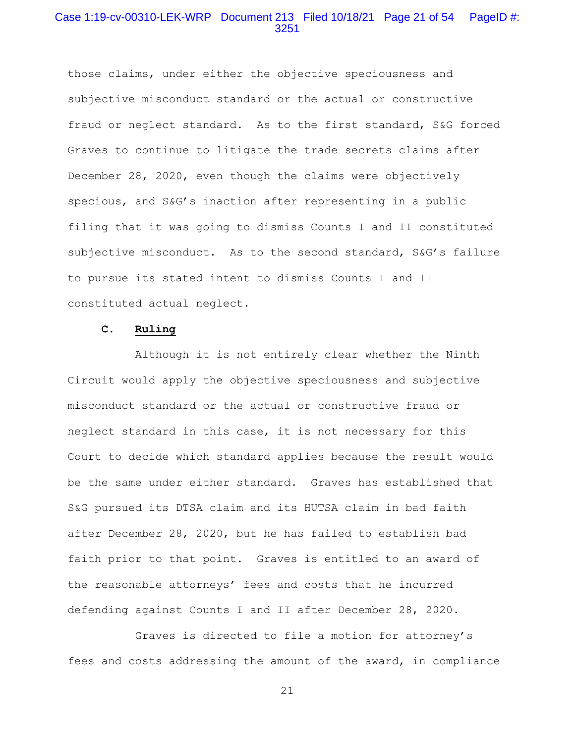# Case 1:19-cv-00310-LEK-WRP Document 213 Filed 10/18/21 Page 21 of 54 PageID #: 3251

those claims, under either the objective speciousness and subjective misconduct standard or the actual or constructive fraud or neglect standard. As to the first standard, S&G forced Graves to continue to litigate the trade secrets claims after December 28, 2020, even though the claims were objectively specious, and S&G's inaction after representing in a public filing that it was going to dismiss Counts I and II constituted subjective misconduct. As to the second standard, S&G's failure to pursue its stated intent to dismiss Counts I and II constituted actual neglect.

#### **C. Ruling**

 Although it is not entirely clear whether the Ninth Circuit would apply the objective speciousness and subjective misconduct standard or the actual or constructive fraud or neglect standard in this case, it is not necessary for this Court to decide which standard applies because the result would be the same under either standard. Graves has established that S&G pursued its DTSA claim and its HUTSA claim in bad faith after December 28, 2020, but he has failed to establish bad faith prior to that point. Graves is entitled to an award of the reasonable attorneys' fees and costs that he incurred defending against Counts I and II after December 28, 2020.

 Graves is directed to file a motion for attorney's fees and costs addressing the amount of the award, in compliance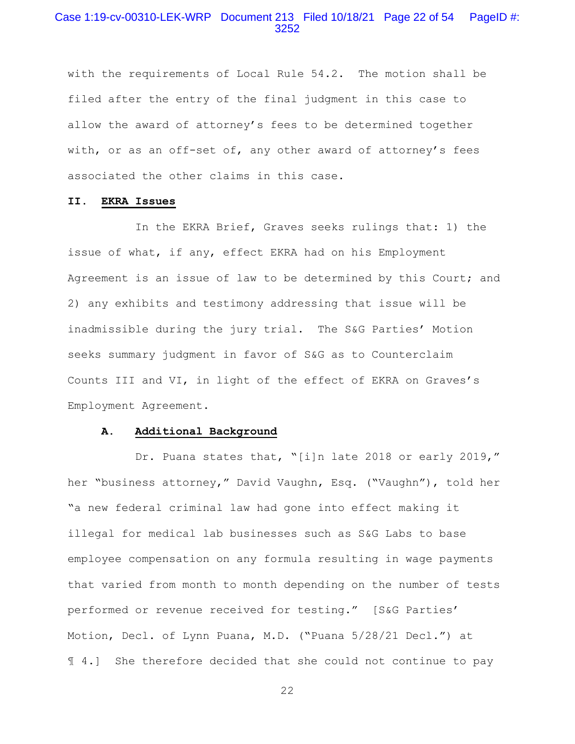# Case 1:19-cv-00310-LEK-WRP Document 213 Filed 10/18/21 Page 22 of 54 PageID #: 3252

with the requirements of Local Rule 54.2. The motion shall be filed after the entry of the final judgment in this case to allow the award of attorney's fees to be determined together with, or as an off-set of, any other award of attorney's fees associated the other claims in this case.

### **II. EKRA Issues**

 In the EKRA Brief, Graves seeks rulings that: 1) the issue of what, if any, effect EKRA had on his Employment Agreement is an issue of law to be determined by this Court; and 2) any exhibits and testimony addressing that issue will be inadmissible during the jury trial. The S&G Parties' Motion seeks summary judgment in favor of S&G as to Counterclaim Counts III and VI, in light of the effect of EKRA on Graves's Employment Agreement.

### **A. Additional Background**

Dr. Puana states that, "[i]n late 2018 or early 2019," her "business attorney," David Vaughn, Esq. ("Vaughn"), told her "a new federal criminal law had gone into effect making it illegal for medical lab businesses such as S&G Labs to base employee compensation on any formula resulting in wage payments that varied from month to month depending on the number of tests performed or revenue received for testing." [S&G Parties' Motion, Decl. of Lynn Puana, M.D. ("Puana 5/28/21 Decl.") at ¶ 4.] She therefore decided that she could not continue to pay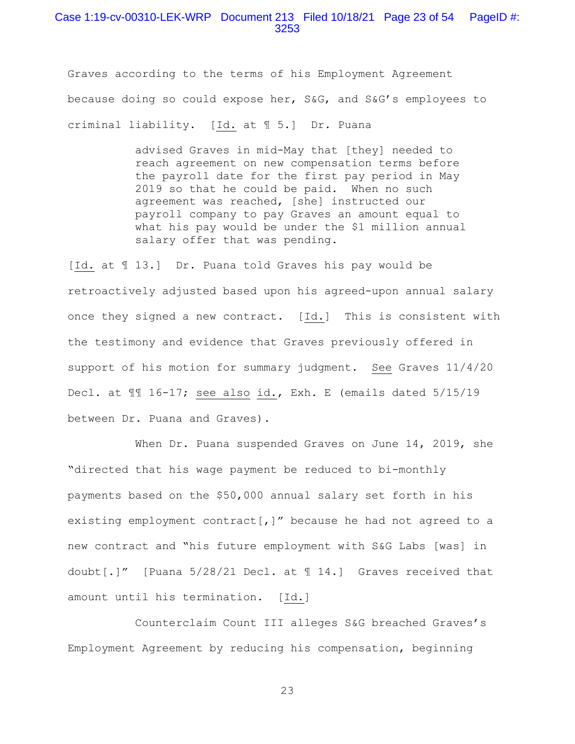### Case 1:19-cv-00310-LEK-WRP Document 213 Filed 10/18/21 Page 23 of 54 PageID #: 3253

Graves according to the terms of his Employment Agreement because doing so could expose her, S&G, and S&G's employees to criminal liability. [Id. at ¶ 5.] Dr. Puana

> advised Graves in mid-May that [they] needed to reach agreement on new compensation terms before the payroll date for the first pay period in May 2019 so that he could be paid. When no such agreement was reached, [she] instructed our payroll company to pay Graves an amount equal to what his pay would be under the \$1 million annual salary offer that was pending.

[Id. at ¶ 13.] Dr. Puana told Graves his pay would be retroactively adjusted based upon his agreed-upon annual salary once they signed a new contract. [Id.] This is consistent with the testimony and evidence that Graves previously offered in support of his motion for summary judgment. See Graves 11/4/20 Decl. at ¶¶ 16-17; see also id., Exh. E (emails dated 5/15/19 between Dr. Puana and Graves).

 When Dr. Puana suspended Graves on June 14, 2019, she "directed that his wage payment be reduced to bi-monthly payments based on the \$50,000 annual salary set forth in his existing employment contract[,]" because he had not agreed to a new contract and "his future employment with S&G Labs [was] in doubt[.]" [Puana 5/28/21 Decl. at ¶ 14.] Graves received that amount until his termination. [Id.]

 Counterclaim Count III alleges S&G breached Graves's Employment Agreement by reducing his compensation, beginning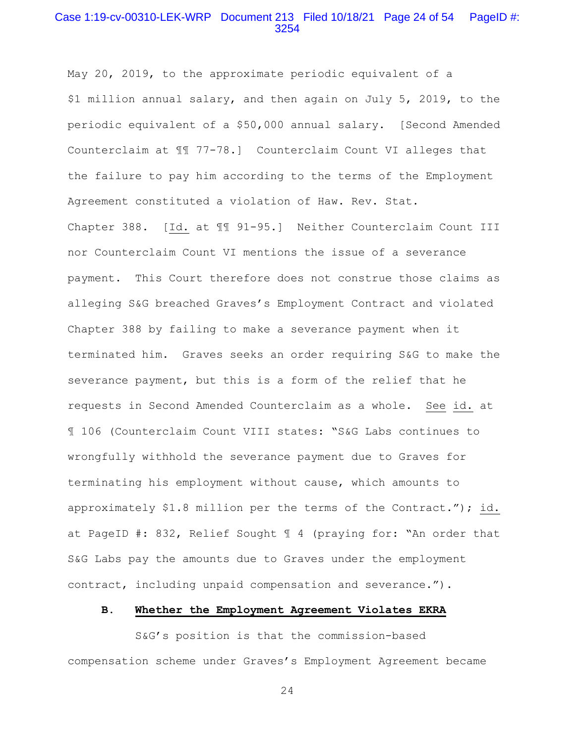# Case 1:19-cv-00310-LEK-WRP Document 213 Filed 10/18/21 Page 24 of 54 PageID #: 3254

May 20, 2019, to the approximate periodic equivalent of a \$1 million annual salary, and then again on July 5, 2019, to the periodic equivalent of a \$50,000 annual salary. [Second Amended Counterclaim at ¶¶ 77-78.] Counterclaim Count VI alleges that the failure to pay him according to the terms of the Employment Agreement constituted a violation of Haw. Rev. Stat.

Chapter 388. [Id. at ¶¶ 91-95.] Neither Counterclaim Count III nor Counterclaim Count VI mentions the issue of a severance payment. This Court therefore does not construe those claims as alleging S&G breached Graves's Employment Contract and violated Chapter 388 by failing to make a severance payment when it terminated him. Graves seeks an order requiring S&G to make the severance payment, but this is a form of the relief that he requests in Second Amended Counterclaim as a whole. See id. at ¶ 106 (Counterclaim Count VIII states: "S&G Labs continues to wrongfully withhold the severance payment due to Graves for terminating his employment without cause, which amounts to approximately \$1.8 million per the terms of the Contract."); id. at PageID #: 832, Relief Sought ¶ 4 (praying for: "An order that S&G Labs pay the amounts due to Graves under the employment contract, including unpaid compensation and severance.").

### **B. Whether the Employment Agreement Violates EKRA**

 S&G's position is that the commission-based compensation scheme under Graves's Employment Agreement became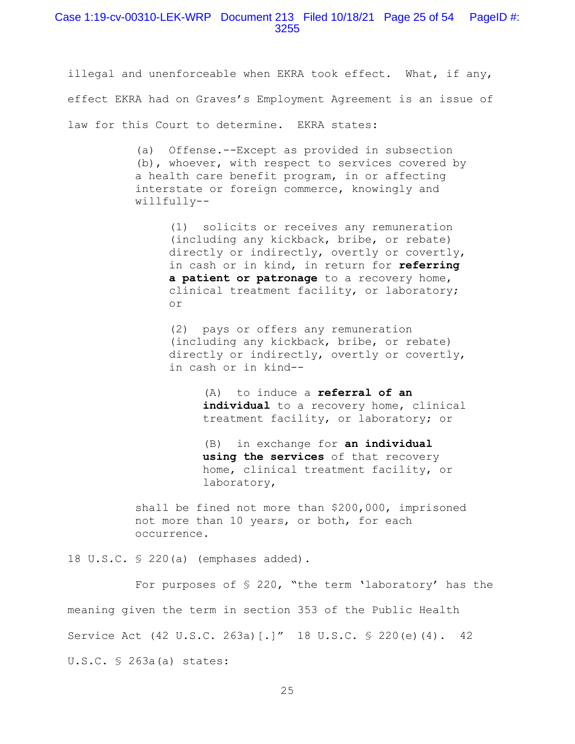illegal and unenforceable when EKRA took effect. What, if any, effect EKRA had on Graves's Employment Agreement is an issue of law for this Court to determine. EKRA states:

> (a) Offense.--Except as provided in subsection (b), whoever, with respect to services covered by a health care benefit program, in or affecting interstate or foreign commerce, knowingly and willfully--

> > (1) solicits or receives any remuneration (including any kickback, bribe, or rebate) directly or indirectly, overtly or covertly, in cash or in kind, in return for **referring a patient or patronage** to a recovery home, clinical treatment facility, or laboratory; or

> > (2) pays or offers any remuneration (including any kickback, bribe, or rebate) directly or indirectly, overtly or covertly, in cash or in kind--

> > > (A) to induce a **referral of an individual** to a recovery home, clinical treatment facility, or laboratory; or

(B) in exchange for **an individual using the services** of that recovery home, clinical treatment facility, or laboratory,

shall be fined not more than \$200,000, imprisoned not more than 10 years, or both, for each occurrence.

18 U.S.C. § 220(a) (emphases added).

 For purposes of § 220, "the term 'laboratory' has the meaning given the term in section 353 of the Public Health Service Act (42 U.S.C. 263a)[.]" 18 U.S.C. § 220(e)(4). 42 U.S.C. § 263a(a) states: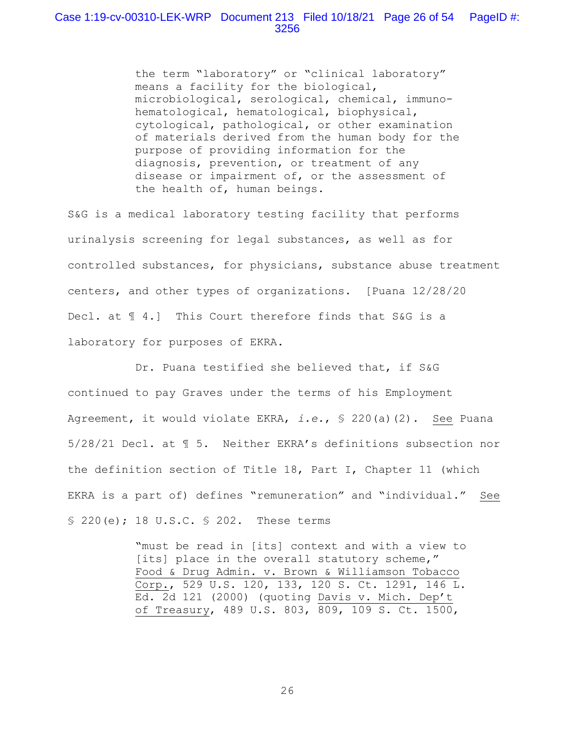the term "laboratory" or "clinical laboratory" means a facility for the biological, microbiological, serological, chemical, immunohematological, hematological, biophysical, cytological, pathological, or other examination of materials derived from the human body for the purpose of providing information for the diagnosis, prevention, or treatment of any disease or impairment of, or the assessment of the health of, human beings.

S&G is a medical laboratory testing facility that performs urinalysis screening for legal substances, as well as for controlled substances, for physicians, substance abuse treatment centers, and other types of organizations. [Puana 12/28/20 Decl. at  $\text{\ensuremath{\mathfrak{A}}}$  4.] This Court therefore finds that S&G is a laboratory for purposes of EKRA.

 Dr. Puana testified she believed that, if S&G continued to pay Graves under the terms of his Employment Agreement, it would violate EKRA, *i.e.*, § 220(a)(2). See Puana 5/28/21 Decl. at ¶ 5. Neither EKRA's definitions subsection nor the definition section of Title 18, Part I, Chapter 11 (which EKRA is a part of) defines "remuneration" and "individual." See § 220(e); 18 U.S.C. § 202. These terms

> "must be read in [its] context and with a view to [its] place in the overall statutory scheme," Food & Drug Admin. v. Brown & Williamson Tobacco Corp., 529 U.S. 120, 133, 120 S. Ct. 1291, 146 L. Ed. 2d 121 (2000) (quoting Davis v. Mich. Dep't of Treasury, 489 U.S. 803, 809, 109 S. Ct. 1500,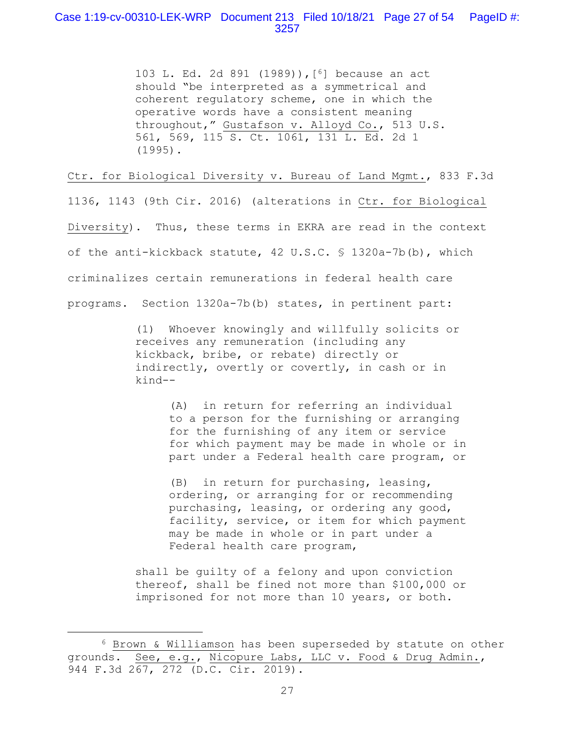# Case 1:19-cv-00310-LEK-WRP Document 213 Filed 10/18/21 Page 27 of 54 PageID #: 3257

103 L. Ed. 2d 891 (1989)),[6] because an act should "be interpreted as a symmetrical and coherent regulatory scheme, one in which the operative words have a consistent meaning throughout," Gustafson v. Alloyd Co., 513 U.S. 561, 569, 115 S. Ct. 1061, 131 L. Ed. 2d 1 (1995).

Ctr. for Biological Diversity v. Bureau of Land Mgmt., 833 F.3d

1136, 1143 (9th Cir. 2016) (alterations in Ctr. for Biological Diversity). Thus, these terms in EKRA are read in the context of the anti-kickback statute, 42 U.S.C. § 1320a-7b(b), which criminalizes certain remunerations in federal health care programs. Section 1320a-7b(b) states, in pertinent part:

> (1) Whoever knowingly and willfully solicits or receives any remuneration (including any kickback, bribe, or rebate) directly or indirectly, overtly or covertly, in cash or in kind--

> > (A) in return for referring an individual to a person for the furnishing or arranging for the furnishing of any item or service for which payment may be made in whole or in part under a Federal health care program, or

> > (B) in return for purchasing, leasing, ordering, or arranging for or recommending purchasing, leasing, or ordering any good, facility, service, or item for which payment may be made in whole or in part under a Federal health care program,

shall be guilty of a felony and upon conviction thereof, shall be fined not more than \$100,000 or imprisoned for not more than 10 years, or both.

<sup>6</sup> Brown & Williamson has been superseded by statute on other grounds. See, e.g., Nicopure Labs, LLC v. Food & Drug Admin., 944 F.3d 267, 272 (D.C. Cir. 2019).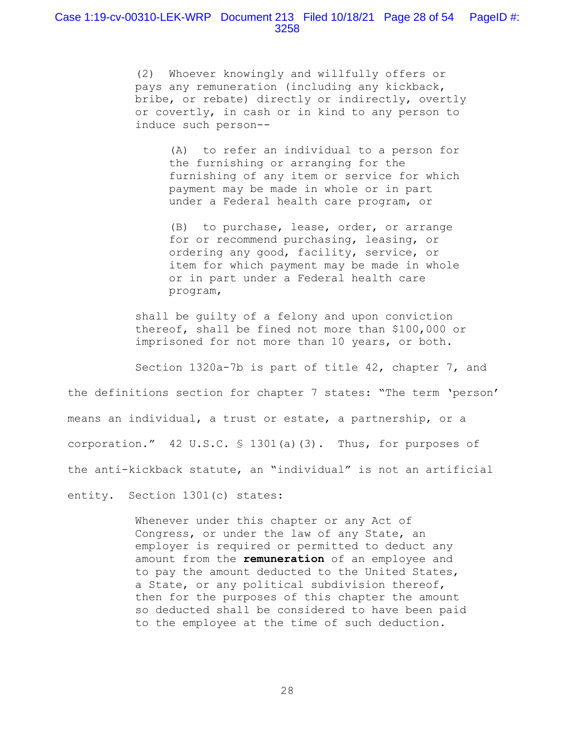## Case 1:19-cv-00310-LEK-WRP Document 213 Filed 10/18/21 Page 28 of 54 PageID #: 3258

(2) Whoever knowingly and willfully offers or pays any remuneration (including any kickback, bribe, or rebate) directly or indirectly, overtly or covertly, in cash or in kind to any person to induce such person--

> (A) to refer an individual to a person for the furnishing or arranging for the furnishing of any item or service for which payment may be made in whole or in part under a Federal health care program, or

> (B) to purchase, lease, order, or arrange for or recommend purchasing, leasing, or ordering any good, facility, service, or item for which payment may be made in whole or in part under a Federal health care program,

shall be guilty of a felony and upon conviction thereof, shall be fined not more than \$100,000 or imprisoned for not more than 10 years, or both.

 Section 1320a-7b is part of title 42, chapter 7, and the definitions section for chapter 7 states: "The term 'person' means an individual, a trust or estate, a partnership, or a corporation." 42 U.S.C. § 1301(a)(3). Thus, for purposes of the anti-kickback statute, an "individual" is not an artificial entity. Section 1301(c) states:

> Whenever under this chapter or any Act of Congress, or under the law of any State, an employer is required or permitted to deduct any amount from the **remuneration** of an employee and to pay the amount deducted to the United States, a State, or any political subdivision thereof, then for the purposes of this chapter the amount so deducted shall be considered to have been paid to the employee at the time of such deduction.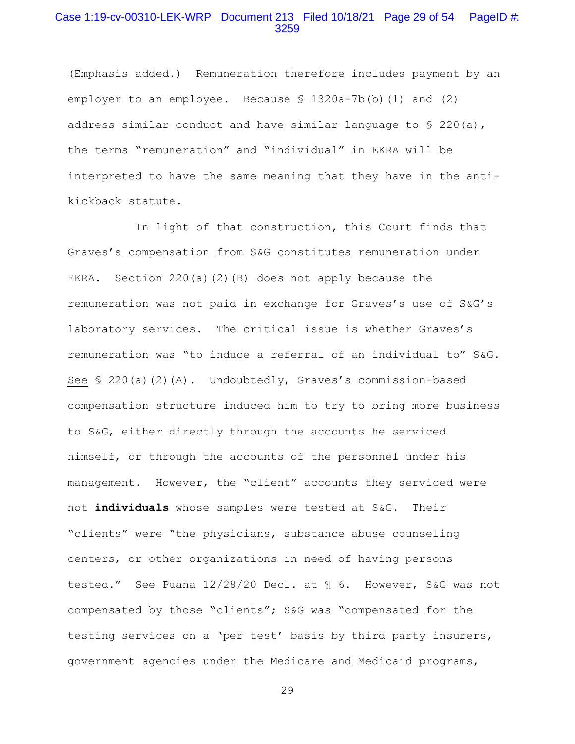### Case 1:19-cv-00310-LEK-WRP Document 213 Filed 10/18/21 Page 29 of 54 PageID #: 3259

(Emphasis added.) Remuneration therefore includes payment by an employer to an employee. Because § 1320a-7b(b)(1) and (2) address similar conduct and have similar language to  $\S$  220(a), the terms "remuneration" and "individual" in EKRA will be interpreted to have the same meaning that they have in the antikickback statute.

 In light of that construction, this Court finds that Graves's compensation from S&G constitutes remuneration under EKRA. Section 220(a)(2)(B) does not apply because the remuneration was not paid in exchange for Graves's use of S&G's laboratory services. The critical issue is whether Graves's remuneration was "to induce a referral of an individual to" S&G. See § 220(a)(2)(A). Undoubtedly, Graves's commission-based compensation structure induced him to try to bring more business to S&G, either directly through the accounts he serviced himself, or through the accounts of the personnel under his management. However, the "client" accounts they serviced were not **individuals** whose samples were tested at S&G. Their "clients" were "the physicians, substance abuse counseling centers, or other organizations in need of having persons tested." See Puana 12/28/20 Decl. at ¶ 6. However, S&G was not compensated by those "clients"; S&G was "compensated for the testing services on a 'per test' basis by third party insurers, government agencies under the Medicare and Medicaid programs,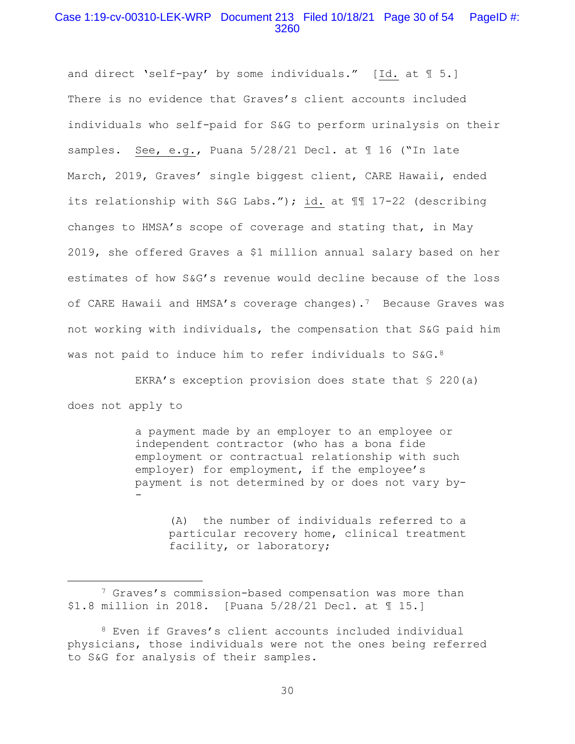## Case 1:19-cv-00310-LEK-WRP Document 213 Filed 10/18/21 Page 30 of 54 PageID #: 3260

and direct 'self-pay' by some individuals." [Id. at 1 5.] There is no evidence that Graves's client accounts included individuals who self-paid for S&G to perform urinalysis on their samples. See, e.g., Puana 5/28/21 Decl. at ¶ 16 ("In late March, 2019, Graves' single biggest client, CARE Hawaii, ended its relationship with S&G Labs."); id. at ¶¶ 17-22 (describing changes to HMSA's scope of coverage and stating that, in May 2019, she offered Graves a \$1 million annual salary based on her estimates of how S&G's revenue would decline because of the loss of CARE Hawaii and HMSA's coverage changes).7 Because Graves was not working with individuals, the compensation that S&G paid him was not paid to induce him to refer individuals to S&G.<sup>8</sup>

 EKRA's exception provision does state that § 220(a) does not apply to

> a payment made by an employer to an employee or independent contractor (who has a bona fide employment or contractual relationship with such employer) for employment, if the employee's payment is not determined by or does not vary by- -

> > (A) the number of individuals referred to a particular recovery home, clinical treatment facility, or laboratory;

<sup>7</sup> Graves's commission-based compensation was more than \$1.8 million in 2018. [Puana 5/28/21 Decl. at ¶ 15.]

<sup>8</sup> Even if Graves's client accounts included individual physicians, those individuals were not the ones being referred to S&G for analysis of their samples.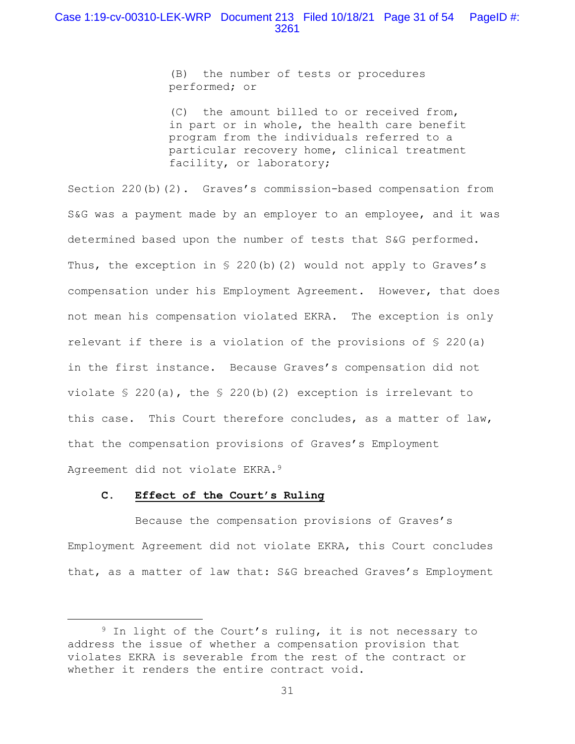(B) the number of tests or procedures performed; or

(C) the amount billed to or received from, in part or in whole, the health care benefit program from the individuals referred to a particular recovery home, clinical treatment facility, or laboratory;

Section 220(b)(2). Graves's commission-based compensation from S&G was a payment made by an employer to an employee, and it was determined based upon the number of tests that S&G performed. Thus, the exception in  $\S$  220(b)(2) would not apply to Graves's compensation under his Employment Agreement. However, that does not mean his compensation violated EKRA. The exception is only relevant if there is a violation of the provisions of § 220(a) in the first instance. Because Graves's compensation did not violate § 220(a), the § 220(b)(2) exception is irrelevant to this case. This Court therefore concludes, as a matter of law, that the compensation provisions of Graves's Employment Agreement did not violate EKRA.9

### **C. Effect of the Court's Ruling**

 Because the compensation provisions of Graves's Employment Agreement did not violate EKRA, this Court concludes that, as a matter of law that: S&G breached Graves's Employment

<sup>9</sup> In light of the Court's ruling, it is not necessary to address the issue of whether a compensation provision that violates EKRA is severable from the rest of the contract or whether it renders the entire contract void.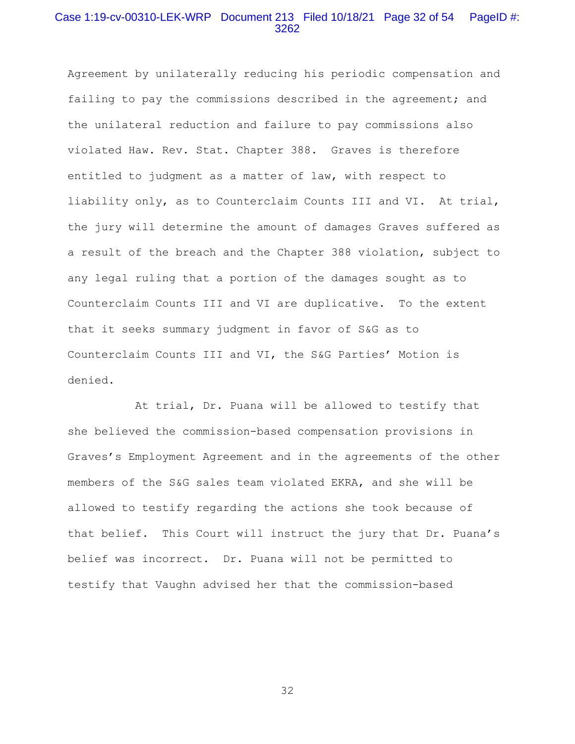# Case 1:19-cv-00310-LEK-WRP Document 213 Filed 10/18/21 Page 32 of 54 PageID #: 3262

Agreement by unilaterally reducing his periodic compensation and failing to pay the commissions described in the agreement; and the unilateral reduction and failure to pay commissions also violated Haw. Rev. Stat. Chapter 388. Graves is therefore entitled to judgment as a matter of law, with respect to liability only, as to Counterclaim Counts III and VI. At trial, the jury will determine the amount of damages Graves suffered as a result of the breach and the Chapter 388 violation, subject to any legal ruling that a portion of the damages sought as to Counterclaim Counts III and VI are duplicative. To the extent that it seeks summary judgment in favor of S&G as to Counterclaim Counts III and VI, the S&G Parties' Motion is denied.

 At trial, Dr. Puana will be allowed to testify that she believed the commission-based compensation provisions in Graves's Employment Agreement and in the agreements of the other members of the S&G sales team violated EKRA, and she will be allowed to testify regarding the actions she took because of that belief. This Court will instruct the jury that Dr. Puana's belief was incorrect. Dr. Puana will not be permitted to testify that Vaughn advised her that the commission-based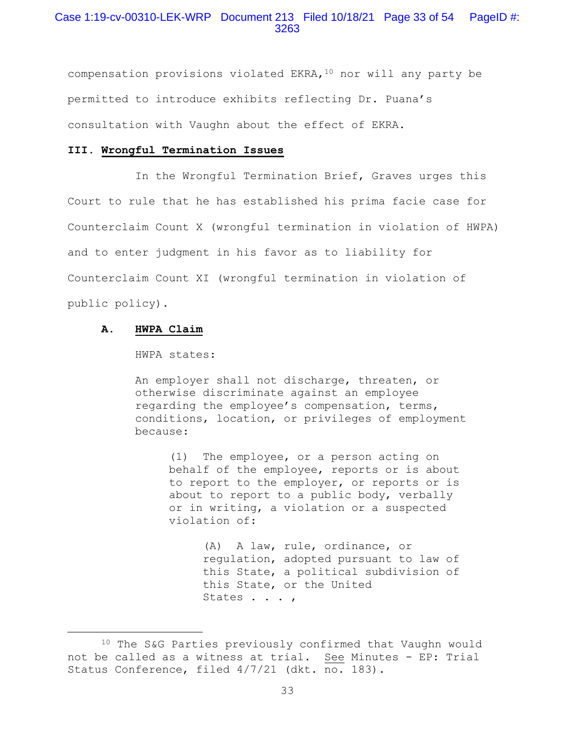# Case 1:19-cv-00310-LEK-WRP Document 213 Filed 10/18/21 Page 33 of 54 PageID #: 3263

compensation provisions violated EKRA,  $10$  nor will any party be permitted to introduce exhibits reflecting Dr. Puana's consultation with Vaughn about the effect of EKRA.

## **III. Wrongful Termination Issues**

 In the Wrongful Termination Brief, Graves urges this Court to rule that he has established his prima facie case for Counterclaim Count X (wrongful termination in violation of HWPA) and to enter judgment in his favor as to liability for Counterclaim Count XI (wrongful termination in violation of public policy).

### **A. HWPA Claim**

#### HWPA states:

An employer shall not discharge, threaten, or otherwise discriminate against an employee regarding the employee's compensation, terms, conditions, location, or privileges of employment because:

> (1) The employee, or a person acting on behalf of the employee, reports or is about to report to the employer, or reports or is about to report to a public body, verbally or in writing, a violation or a suspected violation of:

> > (A) A law, rule, ordinance, or regulation, adopted pursuant to law of this State, a political subdivision of this State, or the United States . . . ,

<sup>10</sup> The S&G Parties previously confirmed that Vaughn would not be called as a witness at trial. See Minutes - EP: Trial Status Conference, filed 4/7/21 (dkt. no. 183).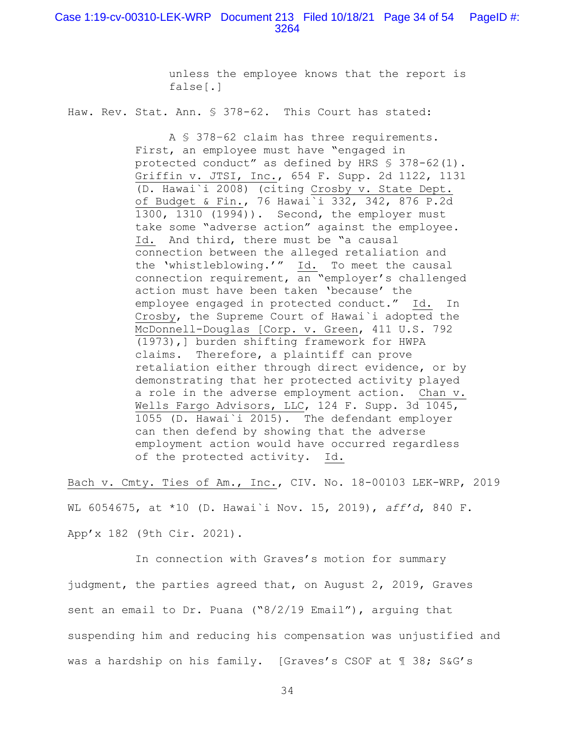unless the employee knows that the report is false[.]

Haw. Rev. Stat. Ann. § 378-62. This Court has stated:

 A § 378–62 claim has three requirements. First, an employee must have "engaged in protected conduct" as defined by HRS § 378-62(1). Griffin v. JTSI, Inc., 654 F. Supp. 2d 1122, 1131 (D. Hawai`i 2008) (citing Crosby v. State Dept. of Budget & Fin., 76 Hawai`i 332, 342, 876 P.2d 1300, 1310 (1994)). Second, the employer must take some "adverse action" against the employee. Id. And third, there must be "a causal connection between the alleged retaliation and the 'whistleblowing.'" Id. To meet the causal connection requirement, an "employer's challenged action must have been taken 'because' the employee engaged in protected conduct." Id. In Crosby, the Supreme Court of Hawai`i adopted the McDonnell-Douglas [Corp. v. Green, 411 U.S. 792 (1973),] burden shifting framework for HWPA claims. Therefore, a plaintiff can prove retaliation either through direct evidence, or by demonstrating that her protected activity played a role in the adverse employment action. Chan v. Wells Fargo Advisors, LLC, 124 F. Supp. 3d 1045, 1055 (D. Hawai`i 2015). The defendant employer can then defend by showing that the adverse employment action would have occurred regardless of the protected activity. Id.

Bach v. Cmty. Ties of Am., Inc., CIV. No. 18-00103 LEK-WRP, 2019 WL 6054675, at \*10 (D. Hawai`i Nov. 15, 2019), *aff'd*, 840 F. App'x 182 (9th Cir. 2021).

 In connection with Graves's motion for summary judgment, the parties agreed that, on August 2, 2019, Graves sent an email to Dr. Puana ("8/2/19 Email"), arguing that suspending him and reducing his compensation was unjustified and was a hardship on his family. [Graves's CSOF at ¶ 38; S&G's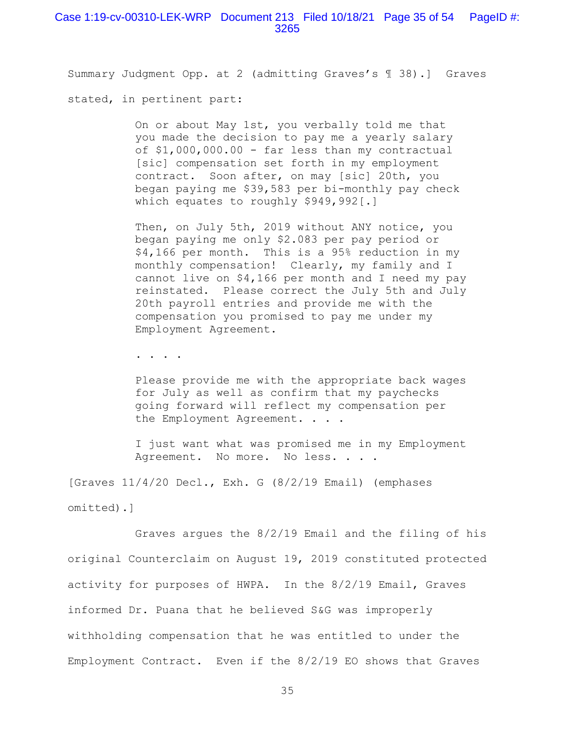### Case 1:19-cv-00310-LEK-WRP Document 213 Filed 10/18/21 Page 35 of 54 PageID #: 3265

Summary Judgment Opp. at 2 (admitting Graves's ¶ 38).] Graves

stated, in pertinent part:

On or about May 1st, you verbally told me that you made the decision to pay me a yearly salary of \$1,000,000.00 - far less than my contractual [sic] compensation set forth in my employment contract. Soon after, on may [sic] 20th, you began paying me \$39,583 per bi-monthly pay check which equates to roughly \$949,992[.]

Then, on July 5th, 2019 without ANY notice, you began paying me only \$2.083 per pay period or \$4,166 per month. This is a 95% reduction in my monthly compensation! Clearly, my family and I cannot live on \$4,166 per month and I need my pay reinstated. Please correct the July 5th and July 20th payroll entries and provide me with the compensation you promised to pay me under my Employment Agreement.

. . . .

Please provide me with the appropriate back wages for July as well as confirm that my paychecks going forward will reflect my compensation per the Employment Agreement. . . .

I just want what was promised me in my Employment Agreement. No more. No less. . . .

[Graves 11/4/20 Decl., Exh. G (8/2/19 Email) (emphases omitted).]

 Graves argues the 8/2/19 Email and the filing of his original Counterclaim on August 19, 2019 constituted protected activity for purposes of HWPA. In the 8/2/19 Email, Graves informed Dr. Puana that he believed S&G was improperly withholding compensation that he was entitled to under the Employment Contract. Even if the 8/2/19 EO shows that Graves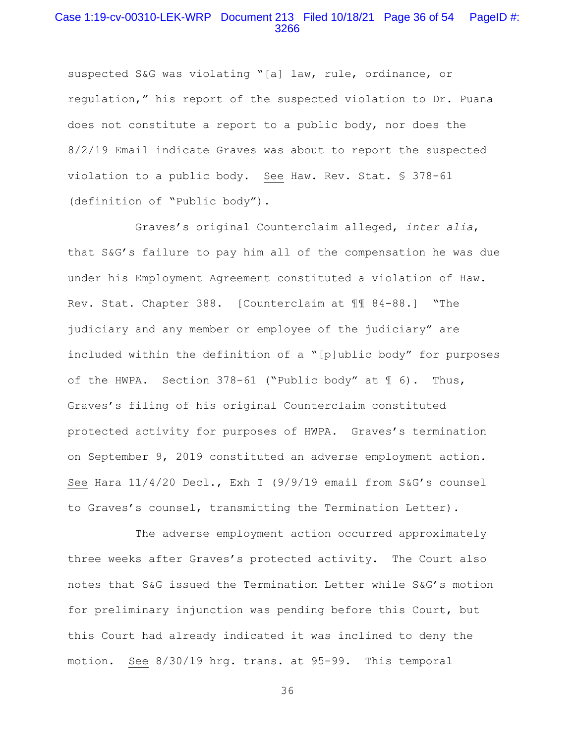# Case 1:19-cv-00310-LEK-WRP Document 213 Filed 10/18/21 Page 36 of 54 PageID #: 3266

suspected S&G was violating "[a] law, rule, ordinance, or regulation," his report of the suspected violation to Dr. Puana does not constitute a report to a public body, nor does the 8/2/19 Email indicate Graves was about to report the suspected violation to a public body. See Haw. Rev. Stat. § 378-61 (definition of "Public body").

 Graves's original Counterclaim alleged, *inter alia*, that S&G's failure to pay him all of the compensation he was due under his Employment Agreement constituted a violation of Haw. Rev. Stat. Chapter 388. [Counterclaim at ¶¶ 84-88.] "The judiciary and any member or employee of the judiciary" are included within the definition of a "[p]ublic body" for purposes of the HWPA. Section 378-61 ("Public body" at ¶ 6). Thus, Graves's filing of his original Counterclaim constituted protected activity for purposes of HWPA. Graves's termination on September 9, 2019 constituted an adverse employment action. See Hara 11/4/20 Decl., Exh I (9/9/19 email from S&G's counsel to Graves's counsel, transmitting the Termination Letter).

 The adverse employment action occurred approximately three weeks after Graves's protected activity. The Court also notes that S&G issued the Termination Letter while S&G's motion for preliminary injunction was pending before this Court, but this Court had already indicated it was inclined to deny the motion. See 8/30/19 hrg. trans. at 95-99. This temporal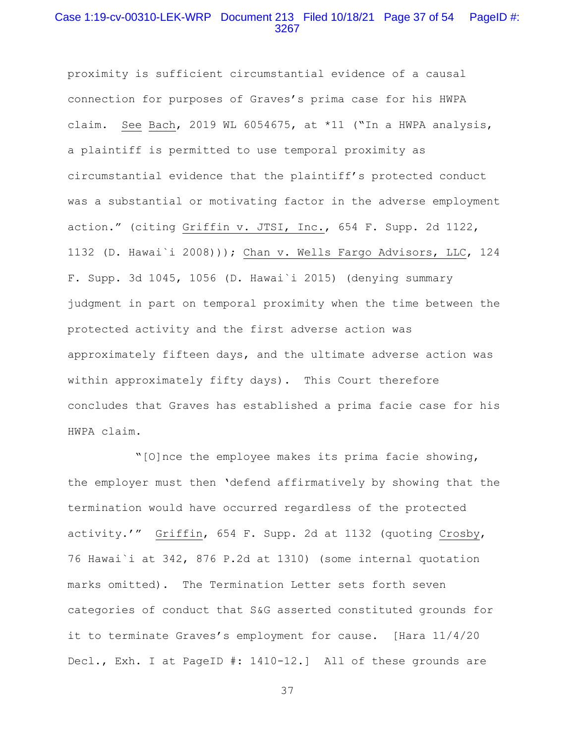# Case 1:19-cv-00310-LEK-WRP Document 213 Filed 10/18/21 Page 37 of 54 PageID #: 3267

proximity is sufficient circumstantial evidence of a causal connection for purposes of Graves's prima case for his HWPA claim. See Bach, 2019 WL 6054675, at \*11 ("In a HWPA analysis, a plaintiff is permitted to use temporal proximity as circumstantial evidence that the plaintiff's protected conduct was a substantial or motivating factor in the adverse employment action." (citing Griffin v. JTSI, Inc., 654 F. Supp. 2d 1122, 1132 (D. Hawai`i 2008))); Chan v. Wells Fargo Advisors, LLC, 124 F. Supp. 3d 1045, 1056 (D. Hawai`i 2015) (denying summary judgment in part on temporal proximity when the time between the protected activity and the first adverse action was approximately fifteen days, and the ultimate adverse action was within approximately fifty days). This Court therefore concludes that Graves has established a prima facie case for his HWPA claim.

 "[O]nce the employee makes its prima facie showing, the employer must then 'defend affirmatively by showing that the termination would have occurred regardless of the protected activity.'" Griffin, 654 F. Supp. 2d at 1132 (quoting Crosby, 76 Hawai`i at 342, 876 P.2d at 1310) (some internal quotation marks omitted). The Termination Letter sets forth seven categories of conduct that S&G asserted constituted grounds for it to terminate Graves's employment for cause. [Hara 11/4/20 Decl., Exh. I at PageID #: 1410-12.] All of these grounds are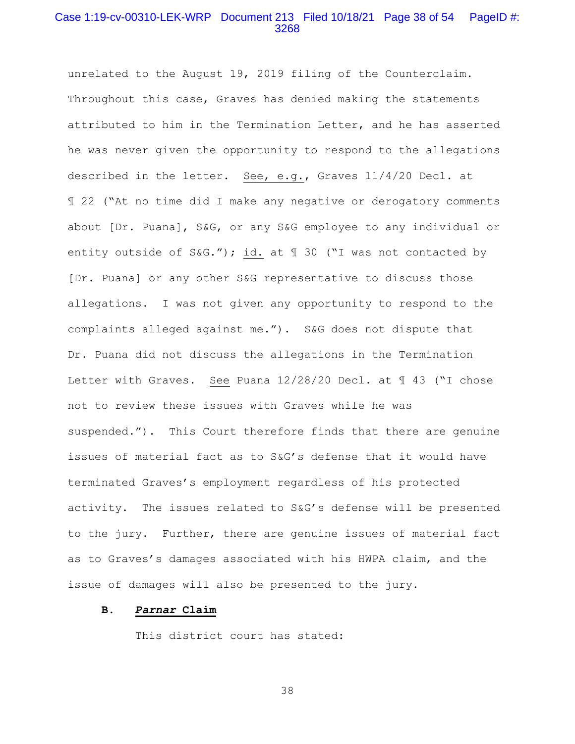# Case 1:19-cv-00310-LEK-WRP Document 213 Filed 10/18/21 Page 38 of 54 PageID #: 3268

unrelated to the August 19, 2019 filing of the Counterclaim. Throughout this case, Graves has denied making the statements attributed to him in the Termination Letter, and he has asserted he was never given the opportunity to respond to the allegations described in the letter. See, e.g., Graves 11/4/20 Decl. at ¶ 22 ("At no time did I make any negative or derogatory comments about [Dr. Puana], S&G, or any S&G employee to any individual or entity outside of S&G."); id. at ¶ 30 ("I was not contacted by [Dr. Puana] or any other S&G representative to discuss those allegations. I was not given any opportunity to respond to the complaints alleged against me."). S&G does not dispute that Dr. Puana did not discuss the allegations in the Termination Letter with Graves. See Puana 12/28/20 Decl. at  $\text{\textsterling}$  43 ("I chose not to review these issues with Graves while he was suspended."). This Court therefore finds that there are genuine issues of material fact as to S&G's defense that it would have terminated Graves's employment regardless of his protected activity. The issues related to S&G's defense will be presented to the jury. Further, there are genuine issues of material fact as to Graves's damages associated with his HWPA claim, and the issue of damages will also be presented to the jury.

### **B.** *Parnar* **Claim**

This district court has stated: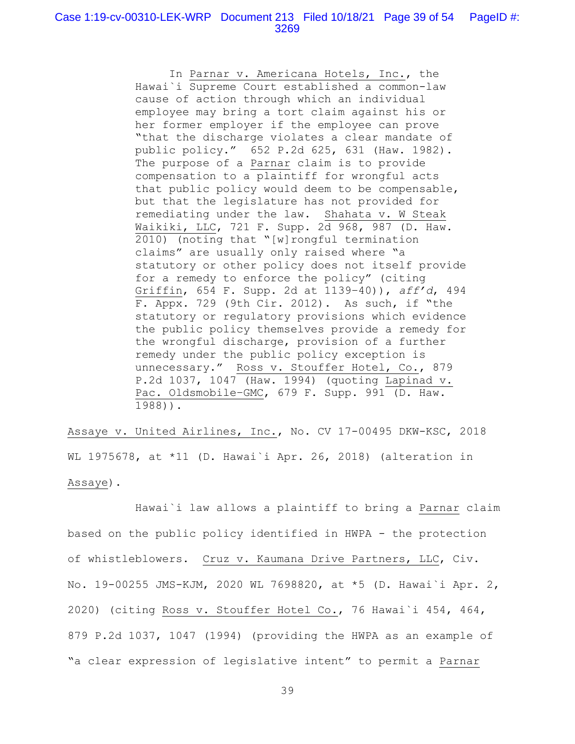In Parnar v. Americana Hotels, Inc., the Hawai`i Supreme Court established a common-law cause of action through which an individual employee may bring a tort claim against his or her former employer if the employee can prove "that the discharge violates a clear mandate of public policy." 652 P.2d 625, 631 (Haw. 1982). The purpose of a Parnar claim is to provide compensation to a plaintiff for wrongful acts that public policy would deem to be compensable, but that the legislature has not provided for remediating under the law. Shahata v. W Steak Waikiki, LLC, 721 F. Supp. 2d 968, 987 (D. Haw. 2010) (noting that "[w]rongful termination claims" are usually only raised where "a statutory or other policy does not itself provide for a remedy to enforce the policy" (citing Griffin, 654 F. Supp. 2d at 1139–40)), *aff'd*, 494 F. Appx. 729 (9th Cir. 2012). As such, if "the statutory or regulatory provisions which evidence the public policy themselves provide a remedy for the wrongful discharge, provision of a further remedy under the public policy exception is unnecessary." Ross v. Stouffer Hotel, Co., 879 P.2d 1037, 1047 (Haw. 1994) (quoting Lapinad v. Pac. Oldsmobile–GMC, 679 F. Supp. 991 (D. Haw. 1988)).

Assaye v. United Airlines, Inc., No. CV 17-00495 DKW-KSC, 2018 WL 1975678, at \*11 (D. Hawai`i Apr. 26, 2018) (alteration in Assaye).

 Hawai`i law allows a plaintiff to bring a Parnar claim based on the public policy identified in HWPA - the protection of whistleblowers. Cruz v. Kaumana Drive Partners, LLC, Civ. No. 19-00255 JMS-KJM, 2020 WL 7698820, at \*5 (D. Hawai`i Apr. 2, 2020) (citing Ross v. Stouffer Hotel Co., 76 Hawai`i 454, 464, 879 P.2d 1037, 1047 (1994) (providing the HWPA as an example of "a clear expression of legislative intent" to permit a Parnar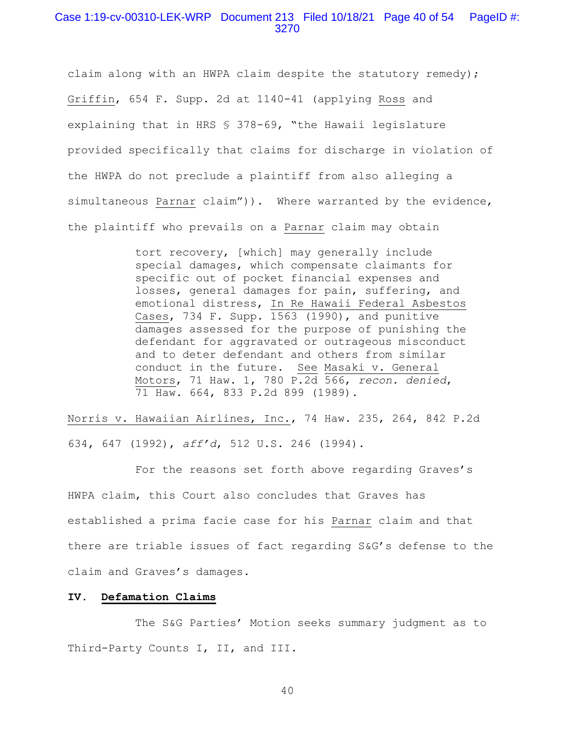### Case 1:19-cv-00310-LEK-WRP Document 213 Filed 10/18/21 Page 40 of 54 PageID #: 3270

claim along with an HWPA claim despite the statutory remedy); Griffin, 654 F. Supp. 2d at 1140-41 (applying Ross and explaining that in HRS § 378-69, "the Hawaii legislature provided specifically that claims for discharge in violation of the HWPA do not preclude a plaintiff from also alleging a simultaneous Parnar claim")). Where warranted by the evidence, the plaintiff who prevails on a Parnar claim may obtain

> tort recovery, [which] may generally include special damages, which compensate claimants for specific out of pocket financial expenses and losses, general damages for pain, suffering, and emotional distress, In Re Hawaii Federal Asbestos Cases, 734 F. Supp. 1563 (1990), and punitive damages assessed for the purpose of punishing the defendant for aggravated or outrageous misconduct and to deter defendant and others from similar conduct in the future. See Masaki v. General Motors, 71 Haw. 1, 780 P.2d 566, *recon. denied*, 71 Haw. 664, 833 P.2d 899 (1989).

Norris v. Hawaiian Airlines, Inc., 74 Haw. 235, 264, 842 P.2d 634, 647 (1992), *aff'd*, 512 U.S. 246 (1994).

 For the reasons set forth above regarding Graves's HWPA claim, this Court also concludes that Graves has established a prima facie case for his Parnar claim and that there are triable issues of fact regarding S&G's defense to the claim and Graves's damages.

#### **IV. Defamation Claims**

 The S&G Parties' Motion seeks summary judgment as to Third-Party Counts I, II, and III.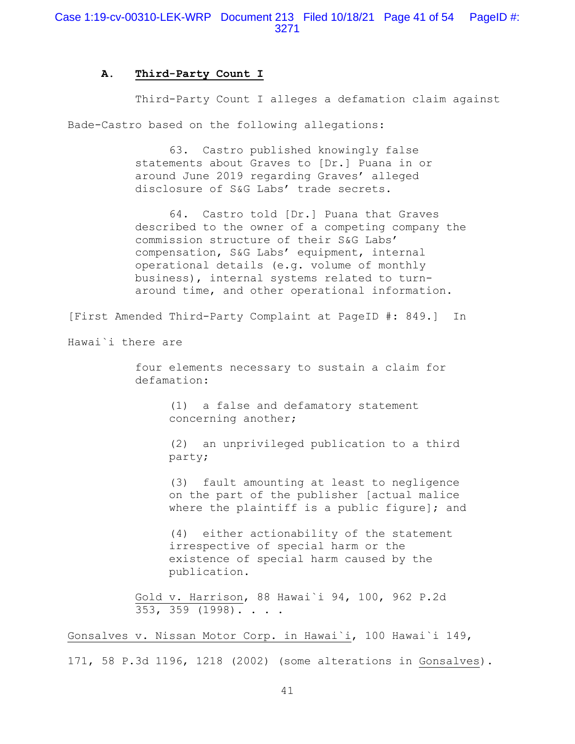### **A. Third-Party Count I**

 Third-Party Count I alleges a defamation claim against Bade-Castro based on the following allegations:

> 63. Castro published knowingly false statements about Graves to [Dr.] Puana in or around June 2019 regarding Graves' alleged disclosure of S&G Labs' trade secrets.

 64. Castro told [Dr.] Puana that Graves described to the owner of a competing company the commission structure of their S&G Labs' compensation, S&G Labs' equipment, internal operational details (e.g. volume of monthly business), internal systems related to turnaround time, and other operational information.

[First Amended Third-Party Complaint at PageID #: 849.] In

Hawai`i there are

four elements necessary to sustain a claim for defamation:

> (1) a false and defamatory statement concerning another;

(2) an unprivileged publication to a third party;

(3) fault amounting at least to negligence on the part of the publisher [actual malice where the plaintiff is a public figure]; and

(4) either actionability of the statement irrespective of special harm or the existence of special harm caused by the publication.

Gold v. Harrison, 88 Hawai`i 94, 100, 962 P.2d 353, 359 (1998). . . .

Gonsalves v. Nissan Motor Corp. in Hawai`i, 100 Hawai`i 149, 171, 58 P.3d 1196, 1218 (2002) (some alterations in Gonsalves).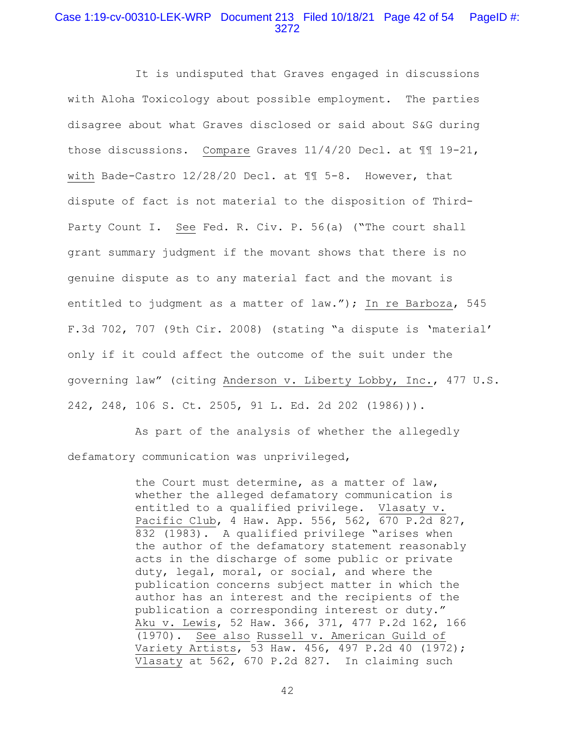# Case 1:19-cv-00310-LEK-WRP Document 213 Filed 10/18/21 Page 42 of 54 PageID #: 3272

 It is undisputed that Graves engaged in discussions with Aloha Toxicology about possible employment. The parties disagree about what Graves disclosed or said about S&G during those discussions. Compare Graves 11/4/20 Decl. at ¶¶ 19-21, with Bade-Castro 12/28/20 Decl. at ¶¶ 5-8. However, that dispute of fact is not material to the disposition of Third-Party Count I. See Fed. R. Civ. P. 56(a) ("The court shall grant summary judgment if the movant shows that there is no genuine dispute as to any material fact and the movant is entitled to judgment as a matter of law."); In re Barboza, 545 F.3d 702, 707 (9th Cir. 2008) (stating "a dispute is 'material' only if it could affect the outcome of the suit under the governing law" (citing Anderson v. Liberty Lobby, Inc., 477 U.S. 242, 248, 106 S. Ct. 2505, 91 L. Ed. 2d 202 (1986))).

 As part of the analysis of whether the allegedly defamatory communication was unprivileged,

> the Court must determine, as a matter of law, whether the alleged defamatory communication is entitled to a qualified privilege. Vlasaty v. Pacific Club, 4 Haw. App. 556, 562, 670 P.2d 827, 832 (1983). A qualified privilege "arises when the author of the defamatory statement reasonably acts in the discharge of some public or private duty, legal, moral, or social, and where the publication concerns subject matter in which the author has an interest and the recipients of the publication a corresponding interest or duty." Aku v. Lewis, 52 Haw. 366, 371, 477 P.2d 162, 166 (1970). See also Russell v. American Guild of Variety Artists, 53 Haw. 456, 497 P.2d 40 (1972); Vlasaty at 562, 670 P.2d 827. In claiming such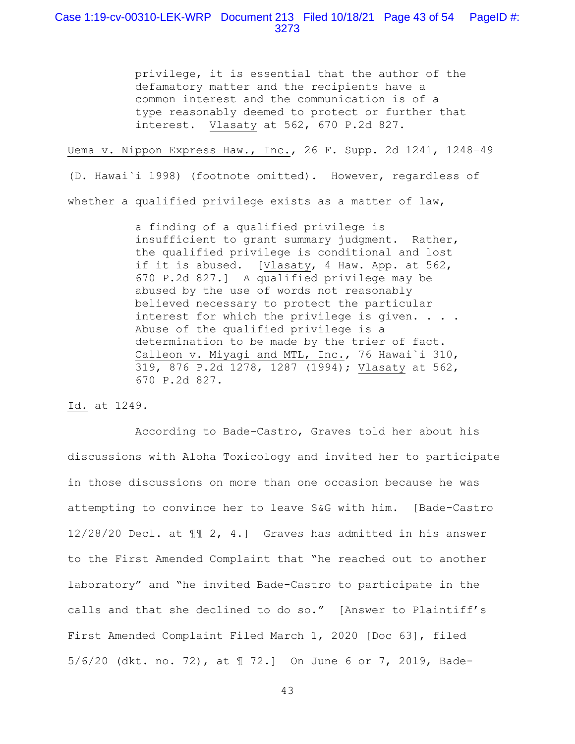# Case 1:19-cv-00310-LEK-WRP Document 213 Filed 10/18/21 Page 43 of 54 PageID #: 3273

privilege, it is essential that the author of the defamatory matter and the recipients have a common interest and the communication is of a type reasonably deemed to protect or further that interest. Vlasaty at 562, 670 P.2d 827.

Uema v. Nippon Express Haw., Inc., 26 F. Supp. 2d 1241, 1248–49

(D. Hawai`i 1998) (footnote omitted). However, regardless of whether a qualified privilege exists as a matter of law,

> a finding of a qualified privilege is insufficient to grant summary judgment. Rather, the qualified privilege is conditional and lost if it is abused. [Vlasaty, 4 Haw. App. at 562, 670 P.2d 827.] A qualified privilege may be abused by the use of words not reasonably believed necessary to protect the particular interest for which the privilege is given. . . . Abuse of the qualified privilege is a determination to be made by the trier of fact. Calleon v. Miyagi and MTL, Inc., 76 Hawai`i 310, 319, 876 P.2d 1278, 1287 (1994); Vlasaty at 562, 670 P.2d 827.

Id. at 1249.

 According to Bade-Castro, Graves told her about his discussions with Aloha Toxicology and invited her to participate in those discussions on more than one occasion because he was attempting to convince her to leave S&G with him. [Bade-Castro 12/28/20 Decl. at ¶¶ 2, 4.] Graves has admitted in his answer to the First Amended Complaint that "he reached out to another laboratory" and "he invited Bade-Castro to participate in the calls and that she declined to do so." [Answer to Plaintiff's First Amended Complaint Filed March 1, 2020 [Doc 63], filed 5/6/20 (dkt. no. 72), at ¶ 72.] On June 6 or 7, 2019, Bade-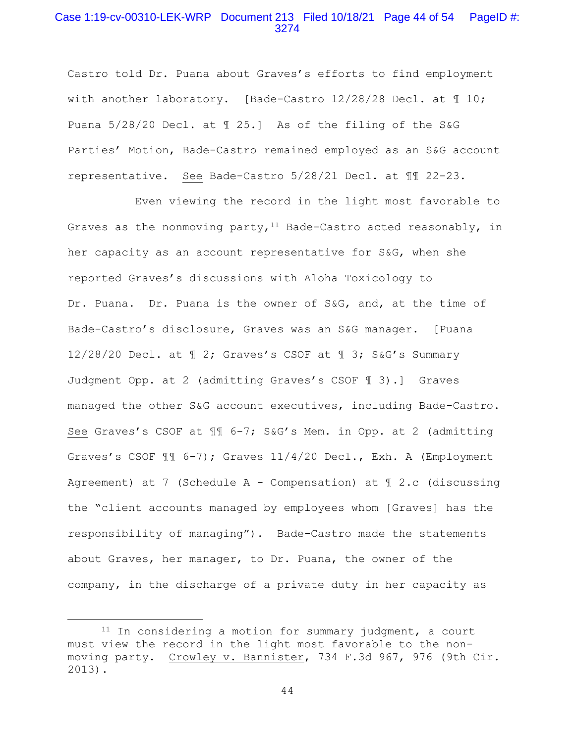## Case 1:19-cv-00310-LEK-WRP Document 213 Filed 10/18/21 Page 44 of 54 PageID #: 3274

Castro told Dr. Puana about Graves's efforts to find employment with another laboratory. [Bade-Castro  $12/28/28$  Decl. at  $\text{\textsterling} 10$ ; Puana 5/28/20 Decl. at ¶ 25.] As of the filing of the S&G Parties' Motion, Bade-Castro remained employed as an S&G account representative. See Bade-Castro 5/28/21 Decl. at ¶¶ 22-23.

 Even viewing the record in the light most favorable to Graves as the nonmoving party,  $11$  Bade-Castro acted reasonably, in her capacity as an account representative for S&G, when she reported Graves's discussions with Aloha Toxicology to Dr. Puana. Dr. Puana is the owner of S&G, and, at the time of Bade-Castro's disclosure, Graves was an S&G manager. [Puana 12/28/20 Decl. at ¶ 2; Graves's CSOF at ¶ 3; S&G's Summary Judgment Opp. at 2 (admitting Graves's CSOF ¶ 3).] Graves managed the other S&G account executives, including Bade-Castro. See Graves's CSOF at ¶¶ 6-7; S&G's Mem. in Opp. at 2 (admitting Graves's CSOF ¶¶ 6-7); Graves 11/4/20 Decl., Exh. A (Employment Agreement) at 7 (Schedule A - Compensation) at  $\mathbb I$  2.c (discussing the "client accounts managed by employees whom [Graves] has the responsibility of managing"). Bade-Castro made the statements about Graves, her manager, to Dr. Puana, the owner of the company, in the discharge of a private duty in her capacity as

<sup>&</sup>lt;sup>11</sup> In considering a motion for summary judgment, a court must view the record in the light most favorable to the nonmoving party. Crowley v. Bannister, 734 F.3d 967, 976 (9th Cir. 2013).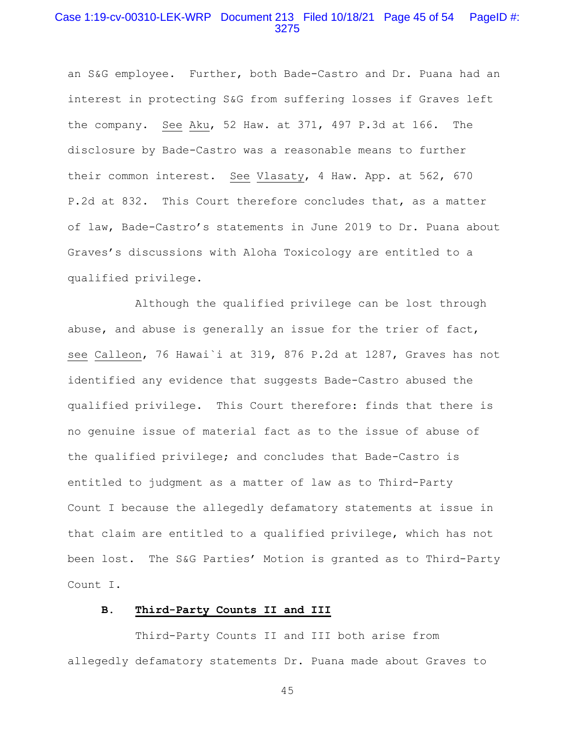# Case 1:19-cv-00310-LEK-WRP Document 213 Filed 10/18/21 Page 45 of 54 PageID #: 3275

an S&G employee. Further, both Bade-Castro and Dr. Puana had an interest in protecting S&G from suffering losses if Graves left the company. See Aku, 52 Haw. at 371, 497 P.3d at 166. The disclosure by Bade-Castro was a reasonable means to further their common interest. See Vlasaty, 4 Haw. App. at 562, 670 P.2d at 832. This Court therefore concludes that, as a matter of law, Bade-Castro's statements in June 2019 to Dr. Puana about Graves's discussions with Aloha Toxicology are entitled to a qualified privilege.

 Although the qualified privilege can be lost through abuse, and abuse is generally an issue for the trier of fact, see Calleon, 76 Hawai`i at 319, 876 P.2d at 1287, Graves has not identified any evidence that suggests Bade-Castro abused the qualified privilege. This Court therefore: finds that there is no genuine issue of material fact as to the issue of abuse of the qualified privilege; and concludes that Bade-Castro is entitled to judgment as a matter of law as to Third-Party Count I because the allegedly defamatory statements at issue in that claim are entitled to a qualified privilege, which has not been lost. The S&G Parties' Motion is granted as to Third-Party Count I.

## **B. Third-Party Counts II and III**

 Third-Party Counts II and III both arise from allegedly defamatory statements Dr. Puana made about Graves to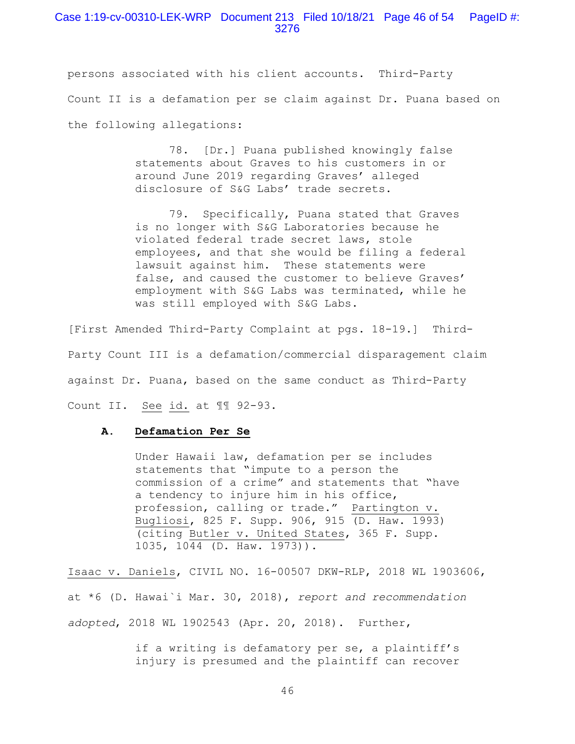### Case 1:19-cv-00310-LEK-WRP Document 213 Filed 10/18/21 Page 46 of 54 PageID #: 3276

persons associated with his client accounts. Third-Party Count II is a defamation per se claim against Dr. Puana based on the following allegations:

> 78. [Dr.] Puana published knowingly false statements about Graves to his customers in or around June 2019 regarding Graves' alleged disclosure of S&G Labs' trade secrets.

 79. Specifically, Puana stated that Graves is no longer with S&G Laboratories because he violated federal trade secret laws, stole employees, and that she would be filing a federal lawsuit against him. These statements were false, and caused the customer to believe Graves' employment with S&G Labs was terminated, while he was still employed with S&G Labs.

[First Amended Third-Party Complaint at pgs. 18-19.] Third-Party Count III is a defamation/commercial disparagement claim against Dr. Puana, based on the same conduct as Third-Party Count II. See id. at II 92-93.

#### **A. Defamation Per Se**

Under Hawaii law, defamation per se includes statements that "impute to a person the commission of a crime" and statements that "have a tendency to injure him in his office, profession, calling or trade." Partington v. Bugliosi, 825 F. Supp. 906, 915 (D. Haw. 1993) (citing Butler v. United States, 365 F. Supp. 1035, 1044 (D. Haw. 1973)).

Isaac v. Daniels, CIVIL NO. 16-00507 DKW-RLP, 2018 WL 1903606, at \*6 (D. Hawai`i Mar. 30, 2018), *report and recommendation adopted*, 2018 WL 1902543 (Apr. 20, 2018). Further,

> if a writing is defamatory per se, a plaintiff's injury is presumed and the plaintiff can recover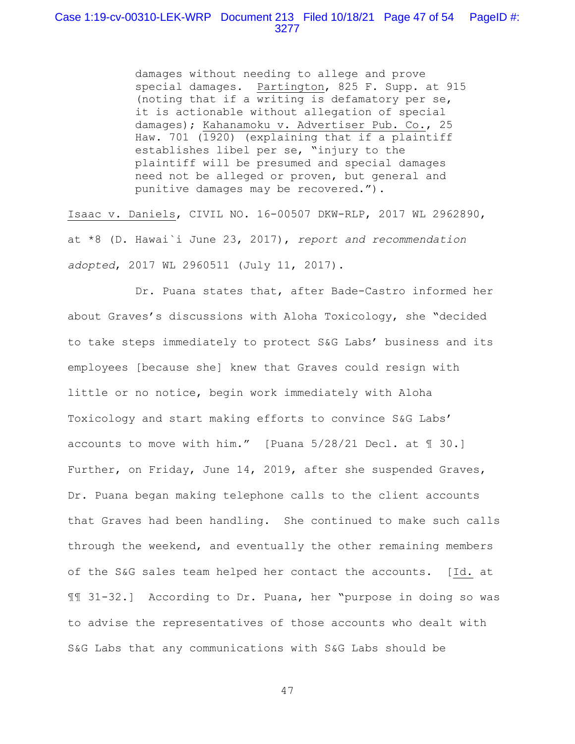damages without needing to allege and prove special damages. Partington, 825 F. Supp. at 915 (noting that if a writing is defamatory per se, it is actionable without allegation of special damages); Kahanamoku v. Advertiser Pub. Co., 25 Haw. 701 (1920) (explaining that if a plaintiff establishes libel per se, "injury to the plaintiff will be presumed and special damages need not be alleged or proven, but general and punitive damages may be recovered.").

Isaac v. Daniels, CIVIL NO. 16-00507 DKW-RLP, 2017 WL 2962890, at \*8 (D. Hawai`i June 23, 2017), *report and recommendation adopted*, 2017 WL 2960511 (July 11, 2017).

 Dr. Puana states that, after Bade-Castro informed her about Graves's discussions with Aloha Toxicology, she "decided to take steps immediately to protect S&G Labs' business and its employees [because she] knew that Graves could resign with little or no notice, begin work immediately with Aloha Toxicology and start making efforts to convince S&G Labs' accounts to move with him." [Puana 5/28/21 Decl. at ¶ 30.] Further, on Friday, June 14, 2019, after she suspended Graves, Dr. Puana began making telephone calls to the client accounts that Graves had been handling. She continued to make such calls through the weekend, and eventually the other remaining members of the S&G sales team helped her contact the accounts. [Id. at ¶¶ 31-32.] According to Dr. Puana, her "purpose in doing so was to advise the representatives of those accounts who dealt with S&G Labs that any communications with S&G Labs should be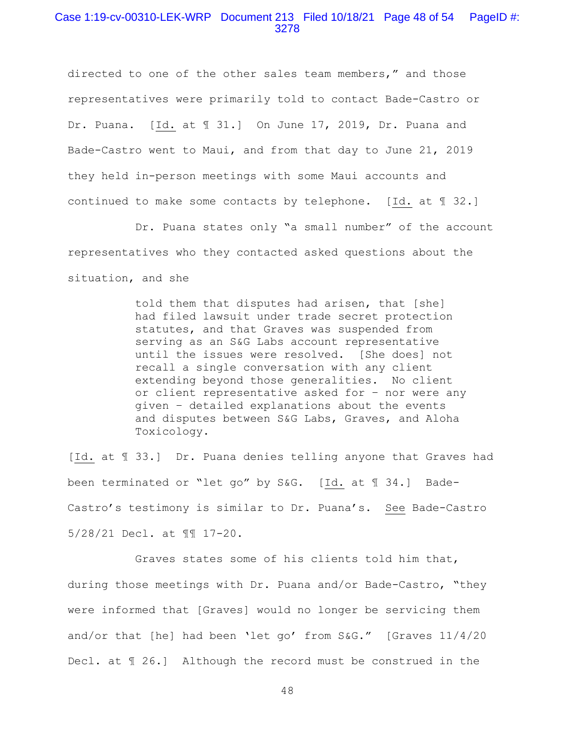### Case 1:19-cv-00310-LEK-WRP Document 213 Filed 10/18/21 Page 48 of 54 PageID #: 3278

directed to one of the other sales team members," and those representatives were primarily told to contact Bade-Castro or Dr. Puana. [Id. at ¶ 31.] On June 17, 2019, Dr. Puana and Bade-Castro went to Maui, and from that day to June 21, 2019 they held in-person meetings with some Maui accounts and continued to make some contacts by telephone. [Id. at ¶ 32.]

 Dr. Puana states only "a small number" of the account representatives who they contacted asked questions about the situation, and she

> told them that disputes had arisen, that [she] had filed lawsuit under trade secret protection statutes, and that Graves was suspended from serving as an S&G Labs account representative until the issues were resolved. [She does] not recall a single conversation with any client extending beyond those generalities. No client or client representative asked for – nor were any given – detailed explanations about the events and disputes between S&G Labs, Graves, and Aloha Toxicology.

[Id. at ¶ 33.] Dr. Puana denies telling anyone that Graves had been terminated or "let go" by S&G. [Id. at ¶ 34.] Bade-Castro's testimony is similar to Dr. Puana's. See Bade-Castro 5/28/21 Decl. at ¶¶ 17-20.

 Graves states some of his clients told him that, during those meetings with Dr. Puana and/or Bade-Castro, "they were informed that [Graves] would no longer be servicing them and/or that [he] had been 'let go' from S&G." [Graves 11/4/20 Decl. at ¶ 26.] Although the record must be construed in the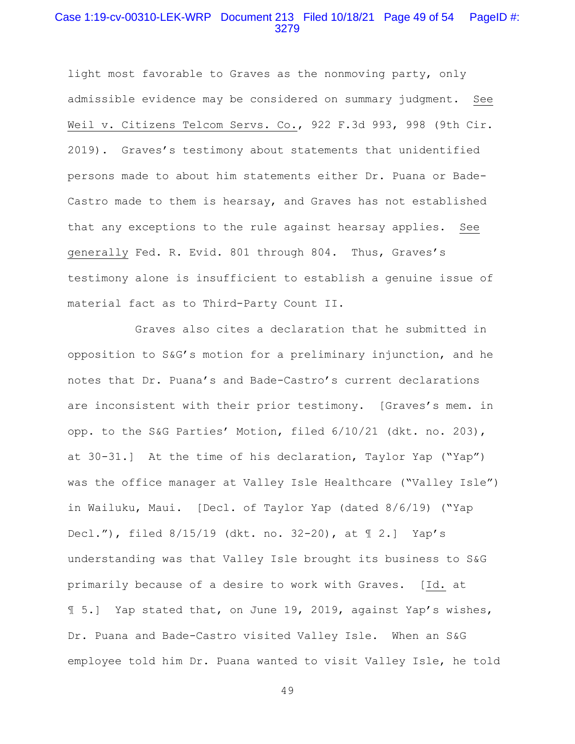# Case 1:19-cv-00310-LEK-WRP Document 213 Filed 10/18/21 Page 49 of 54 PageID #: 3279

light most favorable to Graves as the nonmoving party, only admissible evidence may be considered on summary judgment. See Weil v. Citizens Telcom Servs. Co., 922 F.3d 993, 998 (9th Cir. 2019). Graves's testimony about statements that unidentified persons made to about him statements either Dr. Puana or Bade-Castro made to them is hearsay, and Graves has not established that any exceptions to the rule against hearsay applies. See generally Fed. R. Evid. 801 through 804. Thus, Graves's testimony alone is insufficient to establish a genuine issue of material fact as to Third-Party Count II.

 Graves also cites a declaration that he submitted in opposition to S&G's motion for a preliminary injunction, and he notes that Dr. Puana's and Bade-Castro's current declarations are inconsistent with their prior testimony. [Graves's mem. in opp. to the S&G Parties' Motion, filed 6/10/21 (dkt. no. 203), at 30-31.] At the time of his declaration, Taylor Yap ("Yap") was the office manager at Valley Isle Healthcare ("Valley Isle") in Wailuku, Maui. [Decl. of Taylor Yap (dated 8/6/19) ("Yap Decl."), filed 8/15/19 (dkt. no. 32-20), at ¶ 2.] Yap's understanding was that Valley Isle brought its business to S&G primarily because of a desire to work with Graves. [Id. at ¶ 5.] Yap stated that, on June 19, 2019, against Yap's wishes, Dr. Puana and Bade-Castro visited Valley Isle. When an S&G employee told him Dr. Puana wanted to visit Valley Isle, he told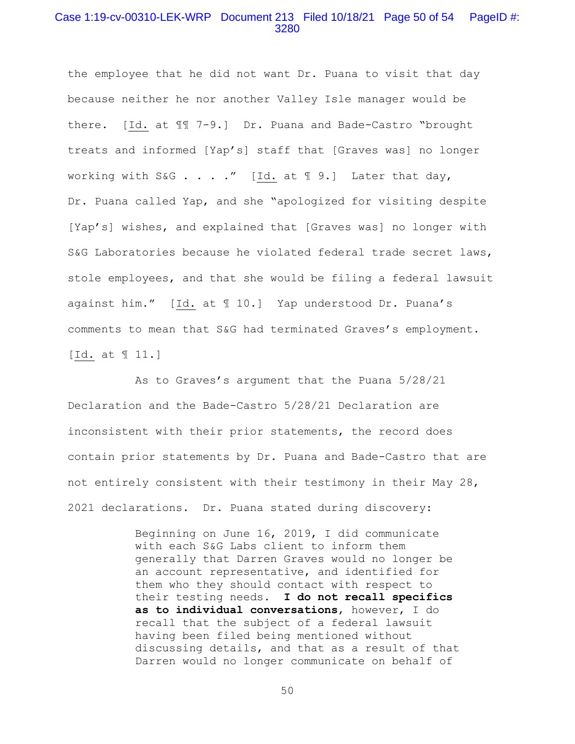## Case 1:19-cv-00310-LEK-WRP Document 213 Filed 10/18/21 Page 50 of 54 PageID #: 3280

the employee that he did not want Dr. Puana to visit that day because neither he nor another Valley Isle manager would be there. [Id. at ¶¶ 7-9.] Dr. Puana and Bade-Castro "brought treats and informed [Yap's] staff that [Graves was] no longer working with S&G . . . ." [Id. at  $\mathbb{I}$  9.] Later that day, Dr. Puana called Yap, and she "apologized for visiting despite [Yap's] wishes, and explained that [Graves was] no longer with S&G Laboratories because he violated federal trade secret laws, stole employees, and that she would be filing a federal lawsuit against him." [Id. at ¶ 10.] Yap understood Dr. Puana's comments to mean that S&G had terminated Graves's employment. [Id. at ¶ 11.]

 As to Graves's argument that the Puana 5/28/21 Declaration and the Bade-Castro 5/28/21 Declaration are inconsistent with their prior statements, the record does contain prior statements by Dr. Puana and Bade-Castro that are not entirely consistent with their testimony in their May 28, 2021 declarations. Dr. Puana stated during discovery:

> Beginning on June 16, 2019, I did communicate with each S&G Labs client to inform them generally that Darren Graves would no longer be an account representative, and identified for them who they should contact with respect to their testing needs. **I do not recall specifics as to individual conversations**, however, I do recall that the subject of a federal lawsuit having been filed being mentioned without discussing details, and that as a result of that Darren would no longer communicate on behalf of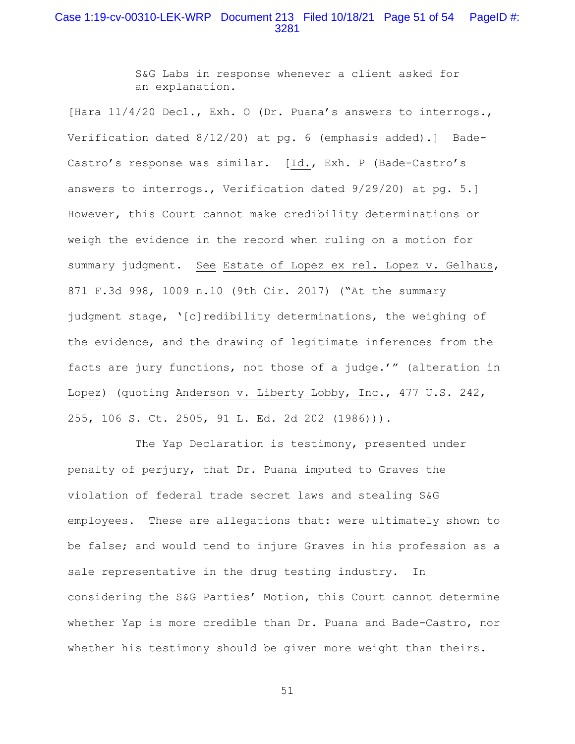## Case 1:19-cv-00310-LEK-WRP Document 213 Filed 10/18/21 Page 51 of 54 PageID #: 3281

S&G Labs in response whenever a client asked for an explanation.

[Hara 11/4/20 Decl., Exh. O (Dr. Puana's answers to interrogs., Verification dated 8/12/20) at pg. 6 (emphasis added).] Bade-Castro's response was similar. [Id., Exh. P (Bade-Castro's answers to interrogs., Verification dated 9/29/20) at pg. 5.] However, this Court cannot make credibility determinations or weigh the evidence in the record when ruling on a motion for summary judgment. See Estate of Lopez ex rel. Lopez v. Gelhaus, 871 F.3d 998, 1009 n.10 (9th Cir. 2017) ("At the summary judgment stage, '[c]redibility determinations, the weighing of the evidence, and the drawing of legitimate inferences from the facts are jury functions, not those of a judge.'" (alteration in Lopez) (quoting Anderson v. Liberty Lobby, Inc., 477 U.S. 242, 255, 106 S. Ct. 2505, 91 L. Ed. 2d 202 (1986))).

The Yap Declaration is testimony, presented under penalty of perjury, that Dr. Puana imputed to Graves the violation of federal trade secret laws and stealing S&G employees. These are allegations that: were ultimately shown to be false; and would tend to injure Graves in his profession as a sale representative in the drug testing industry. In considering the S&G Parties' Motion, this Court cannot determine whether Yap is more credible than Dr. Puana and Bade-Castro, nor whether his testimony should be given more weight than theirs.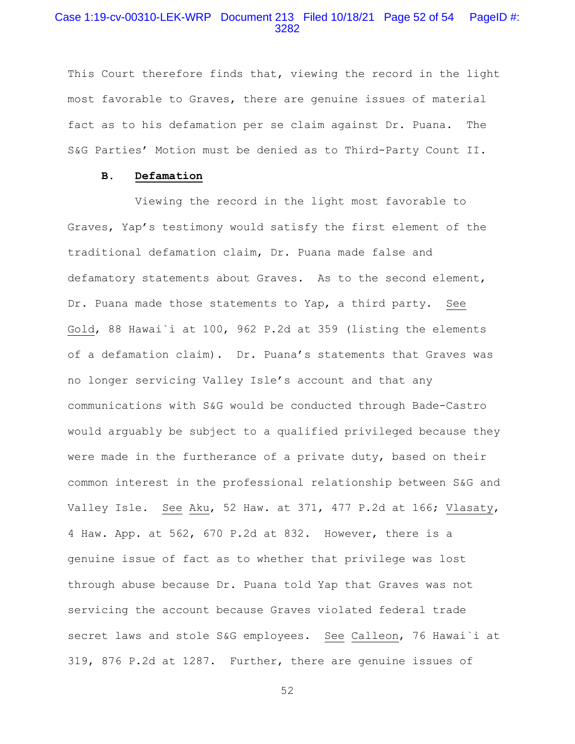# Case 1:19-cv-00310-LEK-WRP Document 213 Filed 10/18/21 Page 52 of 54 PageID #: 3282

This Court therefore finds that, viewing the record in the light most favorable to Graves, there are genuine issues of material fact as to his defamation per se claim against Dr. Puana. The S&G Parties' Motion must be denied as to Third-Party Count II.

#### **B. Defamation**

 Viewing the record in the light most favorable to Graves, Yap's testimony would satisfy the first element of the traditional defamation claim, Dr. Puana made false and defamatory statements about Graves. As to the second element, Dr. Puana made those statements to Yap, a third party. See Gold, 88 Hawai`i at 100, 962 P.2d at 359 (listing the elements of a defamation claim). Dr. Puana's statements that Graves was no longer servicing Valley Isle's account and that any communications with S&G would be conducted through Bade-Castro would arguably be subject to a qualified privileged because they were made in the furtherance of a private duty, based on their common interest in the professional relationship between S&G and Valley Isle. See Aku, 52 Haw. at 371, 477 P.2d at 166; Vlasaty, 4 Haw. App. at 562, 670 P.2d at 832. However, there is a genuine issue of fact as to whether that privilege was lost through abuse because Dr. Puana told Yap that Graves was not servicing the account because Graves violated federal trade secret laws and stole S&G employees. See Calleon, 76 Hawai`i at 319, 876 P.2d at 1287. Further, there are genuine issues of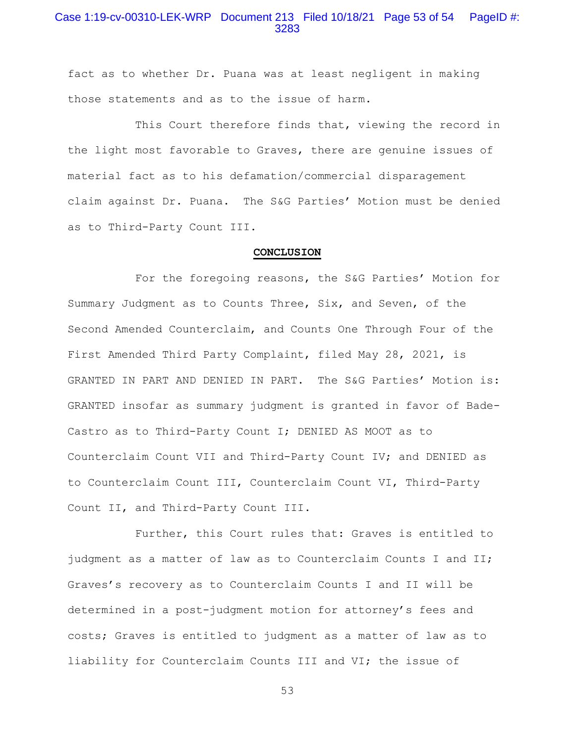# Case 1:19-cv-00310-LEK-WRP Document 213 Filed 10/18/21 Page 53 of 54 PageID #: 3283

fact as to whether Dr. Puana was at least negligent in making those statements and as to the issue of harm.

 This Court therefore finds that, viewing the record in the light most favorable to Graves, there are genuine issues of material fact as to his defamation/commercial disparagement claim against Dr. Puana. The S&G Parties' Motion must be denied as to Third-Party Count III.

#### **CONCLUSION**

 For the foregoing reasons, the S&G Parties' Motion for Summary Judgment as to Counts Three, Six, and Seven, of the Second Amended Counterclaim, and Counts One Through Four of the First Amended Third Party Complaint, filed May 28, 2021, is GRANTED IN PART AND DENIED IN PART. The S&G Parties' Motion is: GRANTED insofar as summary judgment is granted in favor of Bade-Castro as to Third-Party Count I; DENIED AS MOOT as to Counterclaim Count VII and Third-Party Count IV; and DENIED as to Counterclaim Count III, Counterclaim Count VI, Third-Party Count II, and Third-Party Count III.

 Further, this Court rules that: Graves is entitled to judgment as a matter of law as to Counterclaim Counts I and II; Graves's recovery as to Counterclaim Counts I and II will be determined in a post-judgment motion for attorney's fees and costs; Graves is entitled to judgment as a matter of law as to liability for Counterclaim Counts III and VI; the issue of